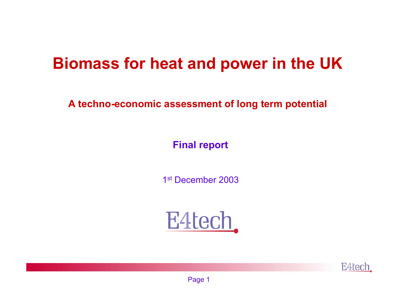# **Biomass for heat and power in the UK**

**A techno-economic assessment of long term potential**

# **Final report**

1st December 2003



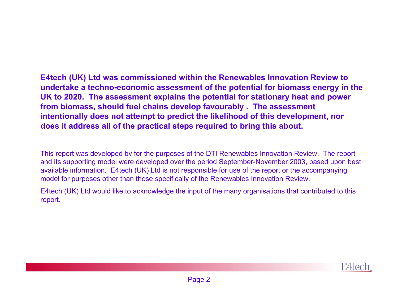**E4tech (UK) Ltd was commissioned within the Renewables Innovation Review to undertake a techno-economic assessment of the potential for biomass energy in the UK to 2020. The assessment explains the potential for stationary heat and power from biomass, should fuel chains develop favourably . The assessment intentionally does not attempt to predict the likelihood of this development, nor does it address all of the practical steps required to bring this about.** 

This report was developed by for the purposes of the DTI Renewables Innovation Review. The report and its supporting model were developed over the period September-November 2003, based upon best available information. E4tech (UK) Ltd is not responsible for use of the report or the accompanying model for purposes other than those specifically of the Renewables Innovation Review.

E4tech (UK) Ltd would like to acknowledge the input of the many organisations that contributed to this report.

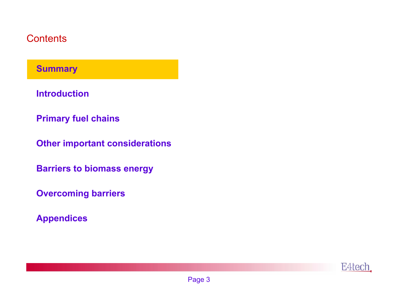### Contents

### **Summary**

**Introduction**

**Primary fuel chains**

**Other important considerations**

**Barriers to biomass energy**

**Overcoming barriers**

**Appendices**

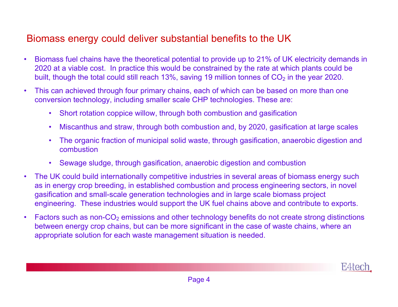### Biomass energy could deliver substantial benefits to the UK

- • Biomass fuel chains have the theoretical potential to provide up to 21% of UK electricity demands in 2020 at a viable cost. In practice this would be constrained by the rate at which plants could be built, though the total could still reach 13%, saving 19 million tonnes of  $CO<sub>2</sub>$  in the year 2020.
- • This can achieved through four primary chains, each of which can be based on more than one conversion technology, including smaller scale CHP technologies. These are:
	- $\bullet$ Short rotation coppice willow, through both combustion and gasification
	- •Miscanthus and straw, through both combustion and, by 2020, gasification at large scales
	- • The organic fraction of municipal solid waste, through gasification, anaerobic digestion and combustion
	- $\bullet$ Sewage sludge, through gasification, anaerobic digestion and combustion
- • The UK could build internationally competitive industries in several areas of biomass energy such as in energy crop breeding, in established combustion and process engineering sectors, in novel gasification and small-scale generation technologies and in large scale biomass project engineering. These industries would support the UK fuel chains above and contribute to exports.
- •• Factors such as non-CO<sub>2</sub> emissions and other technology benefits do not create strong distinctions between energy crop chains, but can be more significant in the case of waste chains, where an appropriate solution for each waste management situation is needed.

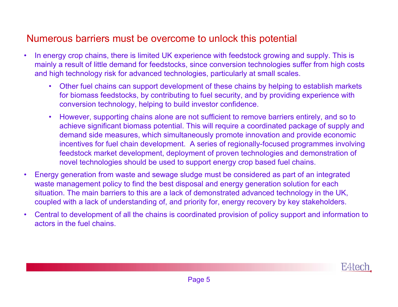### Numerous barriers must be overcome to unlock this potential

- • In energy crop chains, there is limited UK experience with feedstock growing and supply. This is mainly a result of little demand for feedstocks, since conversion technologies suffer from high costs and high technology risk for advanced technologies, particularly at small scales.
	- $\bullet$  Other fuel chains can support development of these chains by helping to establish markets for biomass feedstocks, by contributing to fuel security, and by providing experience with conversion technology, helping to build investor confidence.
	- • However, supporting chains alone are not sufficient to remove barriers entirely, and so to achieve significant biomass potential. This will require a coordinated package of supply and demand side measures, which simultaneously promote innovation and provide economic incentives for fuel chain development. A series of regionally-focused programmes involving feedstock market development, deployment of proven technologies and demonstration of novel technologies should be used to support energy crop based fuel chains.
- • Energy generation from waste and sewage sludge must be considered as part of an integrated waste management policy to find the best disposal and energy generation solution for each situation. The main barriers to this are a lack of demonstrated advanced technology in the UK, coupled with a lack of understanding of, and priority for, energy recovery by key stakeholders.
- • Central to development of all the chains is coordinated provision of policy support and information to actors in the fuel chains.

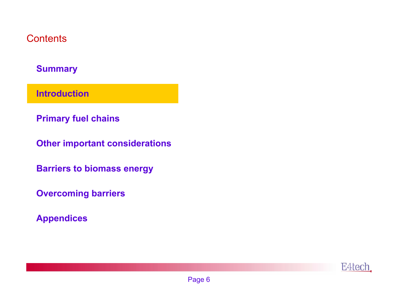### Contents

### **Summary**

**Introduction**

**Primary fuel chains**

**Other important considerations**

**Barriers to biomass energy**

**Overcoming barriers**

**Appendices**

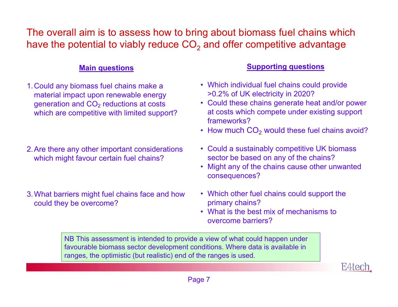The overall aim is to assess how to bring about biomass fuel chains which have the potential to viably reduce CO $_2$  and offer competitive advantage

#### **Main questions**

- 1.Could any biomass fuel chains make a material impact upon renewable energy generation and  $CO<sub>2</sub>$  reductions at costs which are competitive with limited support?
- 2.Are there any other important considerations which might favour certain fuel chains?

3.What barriers might fuel chains face and how could they be overcome?

#### **Supporting questions**

- Which individual fuel chains could provide >0.2% of UK electricity in 2020?
- Could these chains generate heat and/or power at costs which compete under existing support frameworks?
- How much  $\mathsf{CO}_2$  would these fuel chains avoid?
- Could a sustainably competitive UK biomass sector be based on any of the chains?
- Might any of the chains cause other unwanted consequences?
- Which other fuel chains could support the primary chains?
- What is the best mix of mechanisms to overcome barriers?

NB This assessment is intended to provide a view of what could happen under favourable biomass sector development conditions. Where data is available in ranges, the optimistic (but realistic) end of the ranges is used.

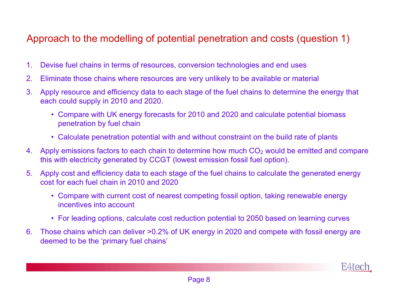# Approach to the modelling of potential penetration and costs (question 1)

- 1.Devise fuel chains in terms of resources, conversion technologies and end uses
- 2.Eliminate those chains where resources are very unlikely to be available or material
- 3. Apply resource and efficiency data to each stage of the fuel chains to determine the energy that each could supply in 2010 and 2020.
	- Compare with UK energy forecasts for 2010 and 2020 and calculate potential biomass penetration by fuel chain
	- Calculate penetration potential with and without constraint on the build rate of plants
- 4.Apply emissions factors to each chain to determine how much  $CO<sub>2</sub>$  would be emitted and compare this with electricity generated by CCGT (lowest emission fossil fuel option).
- 5. Apply cost and efficiency data to each stage of the fuel chains to calculate the generated energy cost for each fuel chain in 2010 and 2020
	- Compare with current cost of nearest competing fossil option, taking renewable energy incentives into account
	- For leading options, calculate cost reduction potential to 2050 based on learning curves
- 6. Those chains which can deliver >0.2% of UK energy in 2020 and compete with fossil energy are deemed to be the 'primary fuel chains'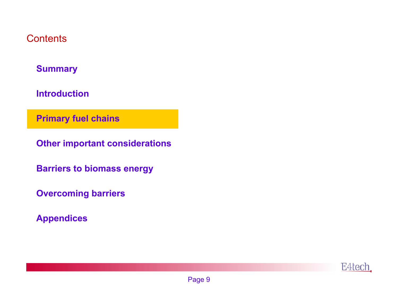Contents

### **Summary**

**Introduction**

**Primary fuel chains**

**Other important considerations**

**Barriers to biomass energy**

**Overcoming barriers**

**Appendices**

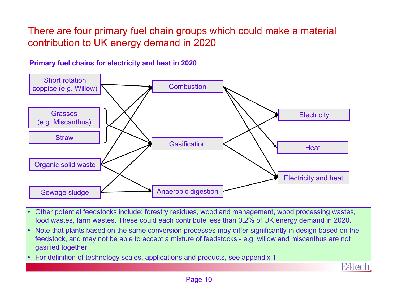# There are four primary fuel chain groups which could make a material contribution to UK energy demand in 2020

#### **Primary fuel chains for electricity and heat in 2020**



- • Other potential feedstocks include: forestry residues, woodland management, wood processing wastes, food wastes, farm wastes. These could each contribute less than 0.2% of UK energy demand in 2020.
- Note that plants based on the same conversion processes may differ significantly in design based on the feedstock, and may not be able to accept a mixture of feedstocks - e.g. willow and miscanthus are not gasified together
- •For definition of technology scales, applications and products, see appendix 1

E4tec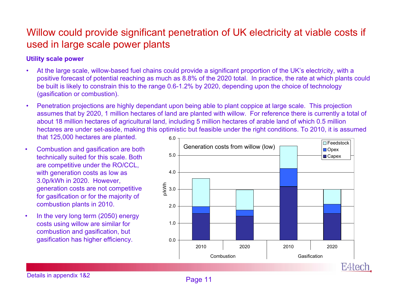## Willow could provide significant penetration of UK electricity at viable costs if used in large scale power plants

#### **Utility scale power**

- • At the large scale, willow-based fuel chains could provide a significant proportion of the UK's electricity, with a positive forecast of potential reaching as much as 8.8% of the 2020 total. In practice, the rate at which plants could be built is likely to constrain this to the range 0.6-1.2% by 2020, depending upon the choice of technology (gasification or combustion).
- • Penetration projections are highly dependant upon being able to plant coppice at large scale. This projection assumes that by 2020, 1 million hectares of land are planted with willow. For reference there is currently a total of about 18 million hectares of agricultural land, including 5 million hectares of arable land of which 0.5 million hectares are under set-aside, making this optimistic but feasible under the right conditions. To 2010, it is assumed that 125,000 hectares are planted. 6.0
- • Combustion and gasification are both technically suited for this scale. Both are competitive under the RO/CCL, with generation costs as low as 3.0p/kWh in 2020. However, generation costs are not competitive for gasification or for the majority of combustion plants in 2010.
- • In the very long term (2050) energy costs using willow are similar for combustion and gasification, but gasification has higher efficiency. 0.0

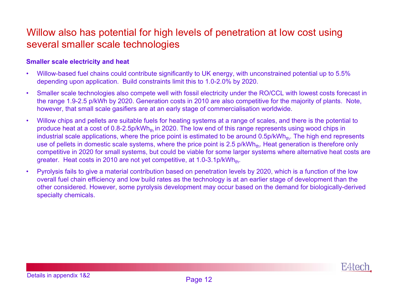# Willow also has potential for high levels of penetration at low cost using several smaller scale technologies

#### **Smaller scale electricity and heat**

- •Willow-based fuel chains could contribute significantly to UK energy, with unconstrained potential up to 5.5% depending upon application. Build constraints limit this to 1.0-2.0% by 2020.
- • Smaller scale technologies also compete well with fossil electricity under the RO/CCL with lowest costs forecast in the range 1.9-2.5 p/kWh by 2020. Generation costs in 2010 are also competitive for the majority of plants. Note, however, that small scale gasifiers are at an early stage of commercialisation worldwide.
- • Willow chips and pellets are suitable fuels for heating systems at a range of scales, and there is the potential to produce heat at a cost of  $0.8$ -2.5p/kWh<sub>th</sub> in 2020. The low end of this range represents using wood chips in industrial scale applications, where the price point is estimated to be around  $0.5p/kWh_{th}$ . The high end represents use of pellets in domestic scale systems, where the price point is 2.5 p/kWh<sub>th</sub>. Heat generation is therefore only competitive in 2020 for small systems, but could be viable for some larger systems where alternative heat costs are greater. Heat costs in 2010 are not yet competitive, at 1.0-3.1p/kWh<sub>th</sub>.
- • Pyrolysis fails to give a material contribution based on penetration levels by 2020, which is a function of the low overall fuel chain efficiency and low build rates as the technology is at an earlier stage of development than the other considered. However, some pyrolysis development may occur based on the demand for biologically-derived specialty chemicals.

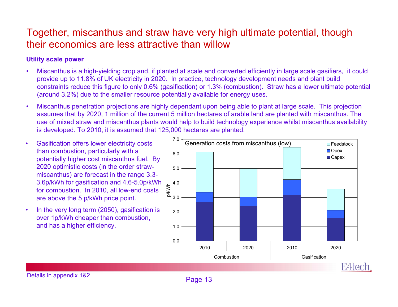## Together, miscanthus and straw have very high ultimate potential, though their economics are less attractive than willow

#### **Utility scale power**

- • Miscanthus is a high-yielding crop and, if planted at scale and converted efficiently in large scale gasifiers, it could provide up to 11.8% of UK electricity in 2020. In practice, technology development needs and plant build constraints reduce this figure to only 0.6% (gasification) or 1.3% (combustion). Straw has a lower ultimate potential (around 3.2%) due to the smaller resource potentially available for energy uses.
- • Miscanthus penetration projections are highly dependant upon being able to plant at large scale. This projection assumes that by 2020, 1 million of the current 5 million hectares of arable land are planted with miscanthus. The use of mixed straw and miscanthus plants would help to build technology experience whilst miscanthus availability is developed. To 2010, it is assumed that 125,000 hectares are planted.
- • Gasification offers lower electricity costs than combustion, particularly with a potentially higher cost miscanthus fuel. By 2020 optimistic costs (in the order strawmiscanthus) are forecast in the range 3.3- 3.6p/kWh for gasification and 4.6-5.0p/kWh for combustion. In 2010, all low-end costs are above the 5 p/kWh price point.
- • In the very long term (2050), gasification is over 1p/kWh cheaper than combustion, and has a higher efficiency.

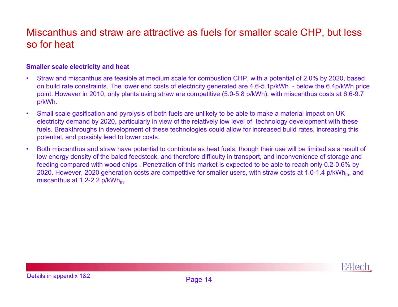# Miscanthus and straw are attractive as fuels for smaller scale CHP, but less so for heat

#### **Smaller scale electricity and heat**

- • Straw and miscanthus are feasible at medium scale for combustion CHP, with a potential of 2.0% by 2020, based on build rate constraints. The lower end costs of electricity generated are 4.6-5.1p/kWh - below the 6.4p/kWh price point. However in 2010, only plants using straw are competitive (5.0-5.8 p/kWh), with miscanthus costs at 6.6-9.7 p/kWh.
- • Small scale gasification and pyrolysis of both fuels are unlikely to be able to make a material impact on UK electricity demand by 2020, particularly in view of the relatively low level of technology development with these fuels. Breakthroughs in development of these technologies could allow for increased build rates, increasing this potential, and possibly lead to lower costs.
- • Both miscanthus and straw have potential to contribute as heat fuels, though their use will be limited as a result of low energy density of the baled feedstock, and therefore difficulty in transport, and inconvenience of storage and feeding compared with wood chips . Penetration of this market is expected to be able to reach only 0.2-0.6% by 2020. However, 2020 generation costs are competitive for smaller users, with straw costs at 1.0-1.4 p/kWh<sub>th</sub>, and miscanthus at 1.2-2.2  $p/kWh_{th}$ .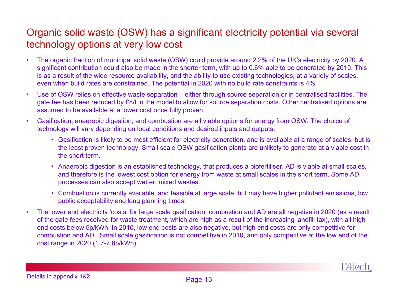# Organic solid waste (OSW) has a significant electricity potential via several technology options at very low cost

- • The organic fraction of municipal solid waste (OSW) could provide around 2.2% of the UK's electricity by 2020. A significant contribution could also be made in the shorter term, with up to 0.6% able to be generated by 2010. This is as a result of the wide resource availability, and the ability to use existing technologies, at a variety of scales, even when build rates are constrained. The potential in 2020 with no build rate constraints is 4%.
- • Use of OSW relies on effective waste separation – either through source separation or in centralised facilities. The gate fee has been reduced by £8/t in the model to allow for source separation costs. Other centralised options are assumed to be available at a lower cost once fully proven.
- • Gasification, anaerobic digestion, and combustion are all viable options for energy from OSW. The choice of technology will vary depending on local conditions and desired inputs and outputs.
	- Gasification is likely to be most efficient for electricity generation, and is available at a range of scales, but is the least proven technology. Small scale OSW gasification plants are unlikely to generate at a viable cost in the short term.
	- Anaerobic digestion is an established technology, that produces a biofertiliser. AD is viable at small scales, and therefore is the lowest cost option for energy from waste at small scales in the short term. Some AD processes can also accept wetter, mixed wastes.
	- Combustion is currently available, and feasible at large scale, but may have higher pollutant emissions, low public acceptability and long planning times.
- • The lower end electricity 'costs' for large scale gasification, combustion and AD are all negative in 2020 (as a result of the gate fees received for waste treatment, which are high as a result of the increasing landfill tax), with all high end costs below 5p/kWh. In 2010, low end costs are also negative, but high end costs are only competitive for combustion and AD. Small scale gasification is not competitive in 2010, and only competitive at the low end of the cost range in 2020 (1.7-7.8p/kWh).

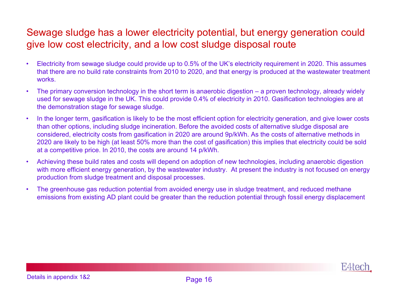# Sewage sludge has a lower electricity potential, but energy generation could give low cost electricity, and a low cost sludge disposal route

- • Electricity from sewage sludge could provide up to 0.5% of the UK's electricity requirement in 2020. This assumes that there are no build rate constraints from 2010 to 2020, and that energy is produced at the wastewater treatment works.
- • The primary conversion technology in the short term is anaerobic digestion – a proven technology, already widely used for sewage sludge in the UK. This could provide 0.4% of electricity in 2010. Gasification technologies are at the demonstration stage for sewage sludge.
- • In the longer term, gasification is likely to be the most efficient option for electricity generation, and give lower costs than other options, including sludge incineration. Before the avoided costs of alternative sludge disposal are considered, electricity costs from gasification in 2020 are around 9p/kWh. As the costs of alternative methods in 2020 are likely to be high (at least 50% more than the cost of gasification) this implies that electricity could be sold at a competitive price. In 2010, the costs are around 14 p/kWh.
- • Achieving these build rates and costs will depend on adoption of new technologies, including anaerobic digestion with more efficient energy generation, by the wastewater industry. At present the industry is not focused on energy production from sludge treatment and disposal processes.
- • The greenhouse gas reduction potential from avoided energy use in sludge treatment, and reduced methane emissions from existing AD plant could be greater than the reduction potential through fossil energy displacement

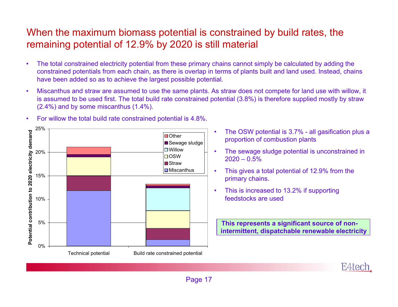# When the maximum biomass potential is constrained by build rates, the remaining potential of 12.9% by 2020 is still material

- • The total constrained electricity potential from these primary chains cannot simply be calculated by adding the constrained potentials from each chain, as there is overlap in terms of plants built and land used. Instead, chains have been added so as to achieve the largest possible potential.
- • Miscanthus and straw are assumed to use the same plants. As straw does not compete for land use with willow, it is assumed to be used first. The total build rate constrained potential (3.8%) is therefore supplied mostly by straw (2.4%) and by some miscanthus (1.4%).

Page 17



- •For willow the total build rate constrained potential is 4.8%.
- • The OSW potential is 3.7% - all gasification plus a proportion of combustion plants
- • The sewage sludge potential is unconstrained in 2020 – 0.5%
- • This gives a total potential of 12.9% from the primary chains.
- • This is increased to 13.2% if supporting feedstocks are used

**This represents a significant source of nonintermittent, dispatchable renewable electricity**

**HAFe**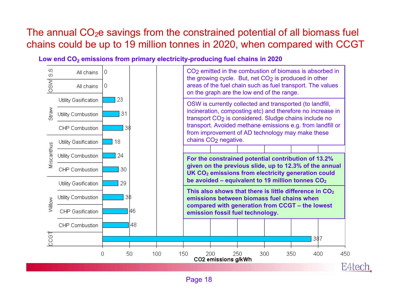# The annual  $CO<sub>2</sub>e$  savings from the constrained potential of all biomass fuel chains could be up to 19 million tonnes in 2020, when compared with CCGT

Low end CO<sub>2</sub> emissions from primary electricity-producing fuel chains in 2020



Page 18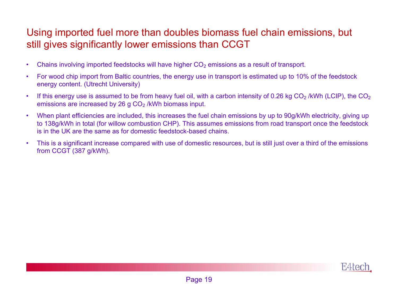# Using imported fuel more than doubles biomass fuel chain emissions, but still gives significantly lower emissions than CCGT

- •Chains involving imported feedstocks will have higher  $CO<sub>2</sub>$  emissions as a result of transport.
- • For wood chip import from Baltic countries, the energy use in transport is estimated up to 10% of the feedstock energy content. (Utrecht University)
- •If this energy use is assumed to be from heavy fuel oil, with a carbon intensity of 0.26 kg CO<sub>2</sub> /kWh (LCIP), the CO<sub>2</sub> emissions are increased by 26 g CO<sub>2</sub> /kWh biomass input.
- •When plant efficiencies are included, this increases the fuel chain emissions by up to 90g/kWh electricity, giving up to 138g/kWh in total (for willow combustion CHP). This assumes emissions from road transport once the feedstock is in the UK are the same as for domestic feedstock-based chains.
- • This is a significant increase compared with use of domestic resources, but is still just over a third of the emissions from CCGT (387 g/kWh).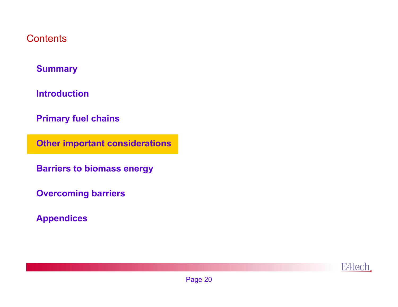Contents

### **Summary**

**Introduction**

**Primary fuel chains**

**Other important considerations**

**Barriers to biomass energy**

**Overcoming barriers**

**Appendices**

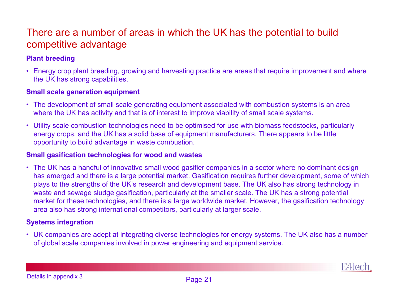# There are a number of areas in which the UK has the potential to build competitive advantage

#### **Plant breeding**

• Energy crop plant breeding, growing and harvesting practice are areas that require improvement and where the UK has strong capabilities.

#### **Small scale generation equipment**

- The development of small scale generating equipment associated with combustion systems is an area where the UK has activity and that is of interest to improve viability of small scale systems.
- Utility scale combustion technologies need to be optimised for use with biomass feedstocks, particularly energy crops, and the UK has a solid base of equipment manufacturers. There appears to be little opportunity to build advantage in waste combustion.

#### **Small gasification technologies for wood and wastes**

• The UK has a handful of innovative small wood gasifier companies in a sector where no dominant design has emerged and there is a large potential market. Gasification requires further development, some of which plays to the strengths of the UK's research and development base. The UK also has strong technology in waste and sewage sludge gasification, particularly at the smaller scale. The UK has a strong potential market for these technologies, and there is a large worldwide market. However, the gasification technology area also has strong international competitors, particularly at larger scale.

#### **Systems integration**

• UK companies are adept at integrating diverse technologies for energy systems. The UK also has a number of global scale companies involved in power engineering and equipment service.

E4fecl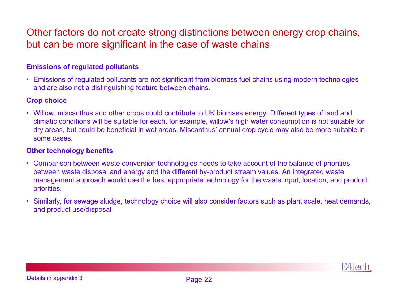# Other factors do not create strong distinctions between energy crop chains, but can be more significant in the case of waste chains

#### **Emissions of regulated pollutants**

• Emissions of regulated pollutants are not significant from biomass fuel chains using modern technologies and are also not a distinguishing feature between chains.

#### **Crop choice**

• Willow, miscanthus and other crops could contribute to UK biomass energy. Different types of land and climatic conditions will be suitable for each, for example, willow's high water consumption is not suitable for dry areas, but could be beneficial in wet areas. Miscanthus' annual crop cycle may also be more suitable in some cases.

#### **Other technology benefits**

- • Comparison between waste conversion technologies needs to take account of the balance of priorities between waste disposal and energy and the different by-product stream values. An integrated waste management approach would use the best appropriate technology for the waste input, location, and product priorities.
- Similarly, for sewage sludge, technology choice will also consider factors such as plant scale, heat demands, and product use/disposal

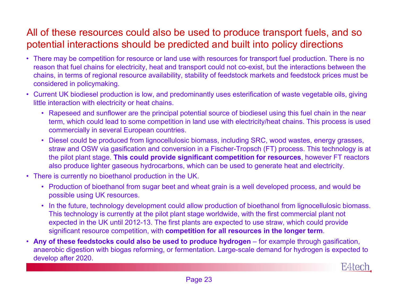# All of these resources could also be used to produce transport fuels, and so potential interactions should be predicted and built into policy directions

- There may be competition for resource or land use with resources for transport fuel production. There is no reason that fuel chains for electricity, heat and transport could not co-exist, but the interactions between the chains, in terms of regional resource availability, stability of feedstock markets and feedstock prices must be considered in policymaking.
- Current UK biodiesel production is low, and predominantly uses esterification of waste vegetable oils, giving little interaction with electricity or heat chains.
	- Rapeseed and sunflower are the principal potential source of biodiesel using this fuel chain in the near term, which could lead to some competition in land use with electricity/heat chains. This process is used commercially in several European countries.
	- Diesel could be produced from lignocellulosic biomass, including SRC, wood wastes, energy grasses, straw and OSW via gasification and conversion in a Fischer-Tropsch (FT) process. This technology is at the pilot plant stage. **This could provide significant competition for resources**, however FT reactors also produce lighter gaseous hydrocarbons, which can be used to generate heat and electricity.
- There is currently no bioethanol production in the UK.
	- Production of bioethanol from sugar beet and wheat grain is a well developed process, and would be possible using UK resources.
	- In the future, technology development could allow production of bioethanol from lignocellulosic biomass. This technology is currently at the pilot plant stage worldwide, with the first commercial plant not expected in the UK until 2012-13. The first plants are expected to use straw, which could provide significant resource competition, with **competition for all resources in the longer term**.
- **Any of these feedstocks could also be used to produce hydrogen** for example through gasification, anaerobic digestion with biogas reforming, or fermentation. Large-scale demand for hydrogen is expected to develop after 2020.

**HAFEC**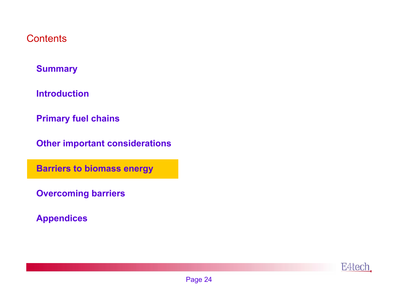### Contents

### **Summary**

**Introduction**

**Primary fuel chains**

**Other important considerations**

**Barriers to biomass energy**

**Overcoming barriers**

**Appendices**

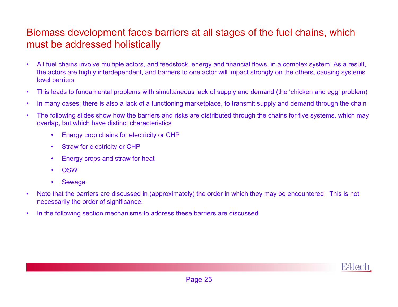# Biomass development faces barriers at all stages of the fuel chains, which must be addressed holistically

- • All fuel chains involve multiple actors, and feedstock, energy and financial flows, in a complex system. As a result, the actors are highly interdependent, and barriers to one actor will impact strongly on the others, causing systems level barriers
- •This leads to fundamental problems with simultaneous lack of supply and demand (the 'chicken and egg' problem)
- •In many cases, there is also a lack of a functioning marketplace, to transmit supply and demand through the chain
- • The following slides show how the barriers and risks are distributed through the chains for five systems, which may overlap, but which have distinct characteristics
	- •Energy crop chains for electricity or CHP
	- •Straw for electricity or CHP
	- •Energy crops and straw for heat
	- •**OSW**
	- •Sewage
- • Note that the barriers are discussed in (approximately) the order in which they may be encountered. This is not necessarily the order of significance.
- •In the following section mechanisms to address these barriers are discussed

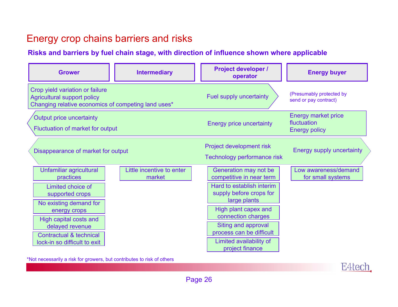## Energy crop chains barriers and risks

#### **Risks and barriers by fuel chain stage, with direction of influence shown where applicable**

| <b>Grower</b>                                                                                                                | <b>Intermediary</b>                 | <b>Project developer /</b><br>operator                                | <b>Energy buyer</b>                                               |
|------------------------------------------------------------------------------------------------------------------------------|-------------------------------------|-----------------------------------------------------------------------|-------------------------------------------------------------------|
| Crop yield variation or failure<br><b>Agricultural support policy</b><br>Changing relative economics of competing land uses* |                                     | Fuel supply uncertainty                                               | (Presumably protected by<br>send or pay contract)                 |
| <b>Output price uncertainty</b><br>Fluctuation of market for output                                                          |                                     | <b>Energy price uncertainty</b>                                       | <b>Energy market price</b><br>fluctuation<br><b>Energy policy</b> |
| Disappearance of market for output                                                                                           |                                     | Project development risk<br>Technology performance risk               | <b>Energy supply uncertainty</b>                                  |
| Unfamiliar agricultural<br>practices                                                                                         | Little incentive to enter<br>market | Generation may not be<br>competitive in near term                     | Low awareness/demand<br>for small systems                         |
| Limited choice of<br>supported crops                                                                                         |                                     | Hard to establish interim<br>supply before crops for                  |                                                                   |
| No existing demand for<br>energy crops                                                                                       |                                     | large plants<br>High plant capex and                                  |                                                                   |
| High capital costs and<br>delayed revenue                                                                                    |                                     | connection charges<br>Siting and approval<br>process can be difficult |                                                                   |
| Contractual & technical<br>lock-in so difficult to exit                                                                      |                                     | Limited availability of<br>project finance                            |                                                                   |

\*Not necessarily <sup>a</sup> risk for growers, but contributes to risk of others

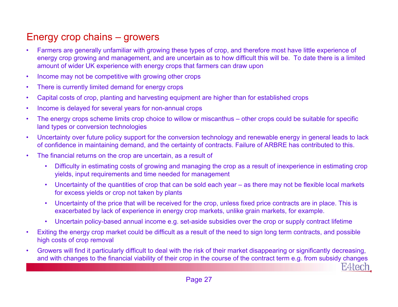# Energy crop chains – growers

- • Farmers are generally unfamiliar with growing these types of crop, and therefore most have little experience of energy crop growing and management, and are uncertain as to how difficult this will be. To date there is a limited amount of wider UK experience with energy crops that farmers can draw upon
- •Income may not be competitive with growing other crops
- •There is currently limited demand for energy crops
- •Capital costs of crop, planting and harvesting equipment are higher than for established crops
- •Income is delayed for several years for non-annual crops
- • The energy crops scheme limits crop choice to willow or miscanthus – other crops could be suitable for specific land types or conversion technologies
- • Uncertainty over future policy support for the conversion technology and renewable energy in general leads to lack of confidence in maintaining demand, and the certainty of contracts. Failure of ARBRE has contributed to this.
- • The financial returns on the crop are uncertain, as a result of
	- • Difficulty in estimating costs of growing and managing the crop as a result of inexperience in estimating crop yields, input requirements and time needed for management
	- • Uncertainty of the quantities of crop that can be sold each year – as there may not be flexible local markets for excess yields or crop not taken by plants
	- • Uncertainty of the price that will be received for the crop, unless fixed price contracts are in place. This is exacerbated by lack of experience in energy crop markets, unlike grain markets, for example.
	- •Uncertain policy-based annual income e.g. set-aside subsidies over the crop or supply contract lifetime
- • Exiting the energy crop market could be difficult as a result of the need to sign long term contracts, and possible high costs of crop removal
- • Growers will find it particularly difficult to deal with the risk of their market disappearing or significantly decreasing, and with changes to the financial viability of their crop in the course of the contract term e.g. from subsidy changes

E4tech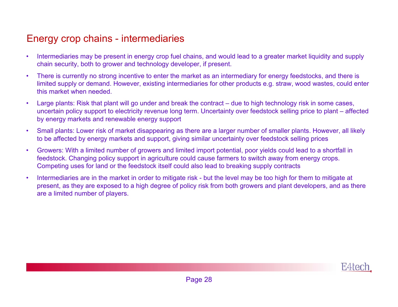## Energy crop chains - intermediaries

- • Intermediaries may be present in energy crop fuel chains, and would lead to a greater market liquidity and supply chain security, both to grower and technology developer, if present.
- • There is currently no strong incentive to enter the market as an intermediary for energy feedstocks, and there is limited supply or demand. However, existing intermediaries for other products e.g. straw, wood wastes, could enter this market when needed.
- • Large plants: Risk that plant will go under and break the contract – due to high technology risk in some cases, uncertain policy support to electricity revenue long term. Uncertainty over feedstock selling price to plant – affected by energy markets and renewable energy support
- • Small plants: Lower risk of market disappearing as there are a larger number of smaller plants. However, all likely to be affected by energy markets and support, giving similar uncertainty over feedstock selling prices
- • Growers: With a limited number of growers and limited import potential, poor yields could lead to a shortfall in feedstock. Changing policy support in agriculture could cause farmers to switch away from energy crops. Competing uses for land or the feedstock itself could also lead to breaking supply contracts
- • Intermediaries are in the market in order to mitigate risk - but the level may be too high for them to mitigate at present, as they are exposed to a high degree of policy risk from both growers and plant developers, and as there are a limited number of players.

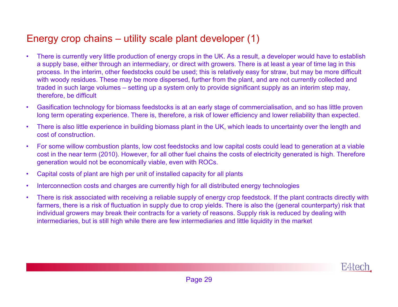# Energy crop chains – utility scale plant developer (1)

- • There is currently very little production of energy crops in the UK. As a result, a developer would have to establish a supply base, either through an intermediary, or direct with growers. There is at least a year of time lag in this process. In the interim, other feedstocks could be used; this is relatively easy for straw, but may be more difficult with woody residues. These may be more dispersed, further from the plant, and are not currently collected and traded in such large volumes – setting up a system only to provide significant supply as an interim step may, therefore, be difficult
- • Gasification technology for biomass feedstocks is at an early stage of commercialisation, and so has little proven long term operating experience. There is, therefore, a risk of lower efficiency and lower reliability than expected.
- • There is also little experience in building biomass plant in the UK, which leads to uncertainty over the length and cost of construction.
- • For some willow combustion plants, low cost feedstocks and low capital costs could lead to generation at a viable cost in the near term (2010). However, for all other fuel chains the costs of electricity generated is high. Therefore generation would not be economically viable, even with ROCs.
- •Capital costs of plant are high per unit of installed capacity for all plants
- •Interconnection costs and charges are currently high for all distributed energy technologies
- • There is risk associated with receiving a reliable supply of energy crop feedstock. If the plant contracts directly with farmers, there is a risk of fluctuation in supply due to crop yields. There is also the (general counterparty) risk that individual growers may break their contracts for a variety of reasons. Supply risk is reduced by dealing with intermediaries, but is still high while there are few intermediaries and little liquidity in the market

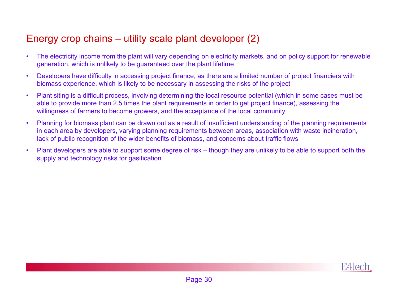# Energy crop chains – utility scale plant developer (2)

- • The electricity income from the plant will vary depending on electricity markets, and on policy support for renewable generation, which is unlikely to be guaranteed over the plant lifetime
- • Developers have difficulty in accessing project finance, as there are a limited number of project financiers with biomass experience, which is likely to be necessary in assessing the risks of the project
- • Plant siting is a difficult process, involving determining the local resource potential (which in some cases must be able to provide more than 2.5 times the plant requirements in order to get project finance), assessing the willingness of farmers to become growers, and the acceptance of the local community
- • Planning for biomass plant can be drawn out as a result of insufficient understanding of the planning requirements in each area by developers, varying planning requirements between areas, association with waste incineration, lack of public recognition of the wider benefits of biomass, and concerns about traffic flows
- • Plant developers are able to support some degree of risk – though they are unlikely to be able to support both the supply and technology risks for gasification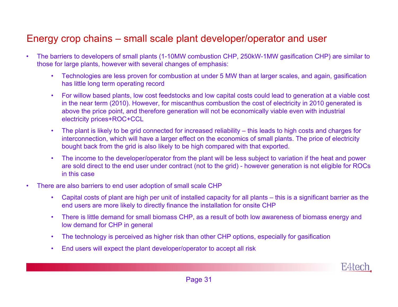### Energy crop chains – small scale plant developer/operator and user

- • The barriers to developers of small plants (1-10MW combustion CHP, 250kW-1MW gasification CHP) are similar to those for large plants, however with several changes of emphasis:
	- • Technologies are less proven for combustion at under 5 MW than at larger scales, and again, gasification has little long term operating record
	- • For willow based plants, low cost feedstocks and low capital costs could lead to generation at a viable cost in the near term (2010). However, for miscanthus combustion the cost of electricity in 2010 generated is above the price point, and therefore generation will not be economically viable even with industrial electricity prices+ROC+CCL
	- • The plant is likely to be grid connected for increased reliability – this leads to high costs and charges for interconnection, which will have a larger effect on the economics of small plants. The price of electricity bought back from the grid is also likely to be high compared with that exported.
	- • The income to the developer/operator from the plant will be less subject to variation if the heat and power are sold direct to the end user under contract (not to the grid) - however generation is not eligible for ROCs in this case
- • There are also barriers to end user adoption of small scale CHP
	- • Capital costs of plant are high per unit of installed capacity for all plants – this is a significant barrier as the end users are more likely to directly finance the installation for onsite CHP
	- • There is little demand for small biomass CHP, as a result of both low awareness of biomass energy and low demand for CHP in general
	- •The technology is perceived as higher risk than other CHP options, especially for gasification
	- •End users will expect the plant developer/operator to accept all risk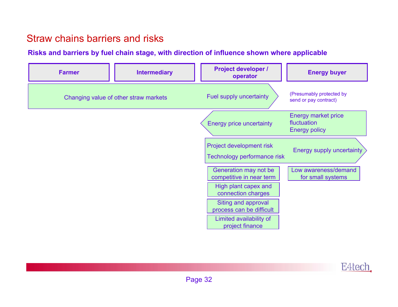### Straw chains barriers and risks

#### **Risks and barriers by fuel chain stage, with direction of influence shown where applicable**

| <b>Farmer</b> | <b>Intermediary</b>                   | <b>Project developer /</b><br>operator                                                          | <b>Energy buyer</b>                                        |
|---------------|---------------------------------------|-------------------------------------------------------------------------------------------------|------------------------------------------------------------|
|               | Changing value of other straw markets | Fuel supply uncertainty                                                                         | (Presumably protected by<br>send or pay contract)          |
|               |                                       | <b>Energy price uncertainty</b>                                                                 | Energy market price<br>fluctuation<br><b>Energy policy</b> |
|               |                                       | Project development risk<br>Technology performance risk                                         | <b>Energy supply uncertainty</b>                           |
|               |                                       | Generation may not be<br>competitive in near term<br>High plant capex and<br>connection charges | Low awareness/demand<br>for small systems                  |
|               |                                       | Siting and approval<br>process can be difficult<br>Limited availability of<br>project finance   |                                                            |

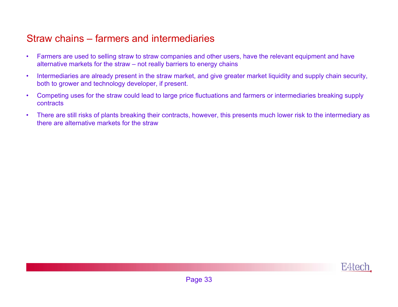## Straw chains – farmers and intermediaries

- • Farmers are used to selling straw to straw companies and other users, have the relevant equipment and have alternative markets for the straw – not really barriers to energy chains
- • Intermediaries are already present in the straw market, and give greater market liquidity and supply chain security, both to grower and technology developer, if present.
- • Competing uses for the straw could lead to large price fluctuations and farmers or intermediaries breaking supply contracts
- • There are still risks of plants breaking their contracts, however, this presents much lower risk to the intermediary as there are alternative markets for the straw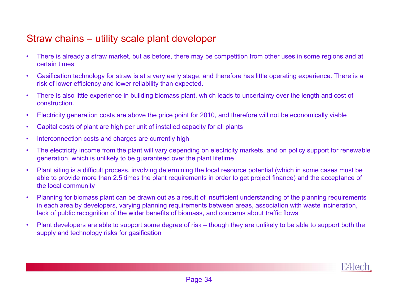## Straw chains – utility scale plant developer

- • There is already a straw market, but as before, there may be competition from other uses in some regions and at certain times
- • Gasification technology for straw is at a very early stage, and therefore has little operating experience. There is a risk of lower efficiency and lower reliability than expected.
- • There is also little experience in building biomass plant, which leads to uncertainty over the length and cost of construction.
- •Electricity generation costs are above the price point for 2010, and therefore will not be economically viable
- •Capital costs of plant are high per unit of installed capacity for all plants
- •Interconnection costs and charges are currently high
- • The electricity income from the plant will vary depending on electricity markets, and on policy support for renewable generation, which is unlikely to be guaranteed over the plant lifetime
- • Plant siting is a difficult process, involving determining the local resource potential (which in some cases must be able to provide more than 2.5 times the plant requirements in order to get project finance) and the acceptance of the local community
- • Planning for biomass plant can be drawn out as a result of insufficient understanding of the planning requirements in each area by developers, varying planning requirements between areas, association with waste incineration, lack of public recognition of the wider benefits of biomass, and concerns about traffic flows
- • Plant developers are able to support some degree of risk – though they are unlikely to be able to support both the supply and technology risks for gasification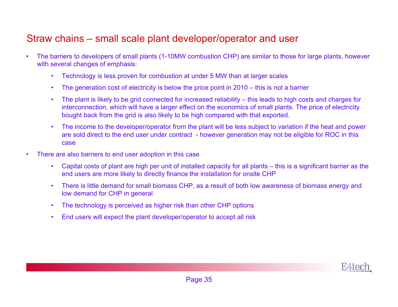### Straw chains – small scale plant developer/operator and user

- • The barriers to developers of small plants (1-10MW combustion CHP) are similar to those for large plants, however with several changes of emphasis:
	- •Technology is less proven for combustion at under 5 MW than at larger scales
	- •The generation cost of electricity is below the price point in 2010 – this is not a barrier
	- • The plant is likely to be grid connected for increased reliability – this leads to high costs and charges for interconnection, which will have a larger effect on the economics of small plants. The price of electricity bought back from the grid is also likely to be high compared with that exported.
	- • The income to the developer/operator from the plant will be less subject to variation if the heat and power are sold direct to the end user under contract - however generation may not be eligible for ROC in this case
- • There are also barriers to end user adoption in this case
	- • Capital costs of plant are high per unit of installed capacity for all plants – this is a significant barrier as the end users are more likely to directly finance the installation for onsite CHP
	- • There is little demand for small biomass CHP, as a result of both low awareness of biomass energy and low demand for CHP in general
	- •The technology is perceived as higher risk than other CHP options
	- •End users will expect the plant developer/operator to accept all risk

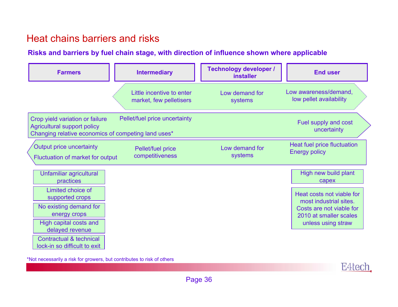### Heat chains barriers and risks

#### **Risks and barriers by fuel chain stage, with direction of influence shown where applicable**

| <b>Farmers</b>                                                                                                               | <b>Intermediary</b>                                  | Technology developer /<br><b>installer</b> | <b>End user</b>                                     |
|------------------------------------------------------------------------------------------------------------------------------|------------------------------------------------------|--------------------------------------------|-----------------------------------------------------|
|                                                                                                                              | Little incentive to enter<br>market, few pelletisers | Low demand for<br>systems                  | Low awareness/demand,<br>low pellet availability    |
| Crop yield variation or failure<br><b>Agricultural support policy</b><br>Changing relative economics of competing land uses* | Pellet/fuel price uncertainty                        |                                            | Fuel supply and cost<br>uncertainty                 |
| Output price uncertainty<br>Fluctuation of market for output                                                                 | Pellet/fuel price<br>competitiveness                 | Low demand for<br>systems                  | Heat fuel price fluctuation<br><b>Energy policy</b> |
| Unfamiliar agricultural<br>practices                                                                                         |                                                      |                                            | High new build plant<br>capex                       |
| Limited choice of<br>supported crops                                                                                         |                                                      |                                            | Heat costs not viable for<br>most industrial sites. |
| No existing demand for<br>energy crops                                                                                       |                                                      |                                            | Costs are not viable for<br>2010 at smaller scales  |
| High capital costs and<br>delayed revenue                                                                                    |                                                      |                                            | unless using straw                                  |
| Contractual & technical<br>lock-in so difficult to exit                                                                      |                                                      |                                            |                                                     |

\*Not necessarily <sup>a</sup> risk for growers, but contributes to risk of others

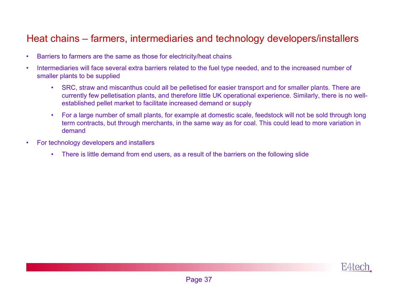### Heat chains – farmers, intermediaries and technology developers/installers

- •Barriers to farmers are the same as those for electricity/heat chains
- • Intermediaries will face several extra barriers related to the fuel type needed, and to the increased number of smaller plants to be supplied
	- • SRC, straw and miscanthus could all be pelletised for easier transport and for smaller plants. There are currently few pelletisation plants, and therefore little UK operational experience. Similarly, there is no wellestablished pellet market to facilitate increased demand or supply
	- • For a large number of small plants, for example at domestic scale, feedstock will not be sold through long term contracts, but through merchants, in the same way as for coal. This could lead to more variation in demand
- • For technology developers and installers
	- •There is little demand from end users, as a result of the barriers on the following slide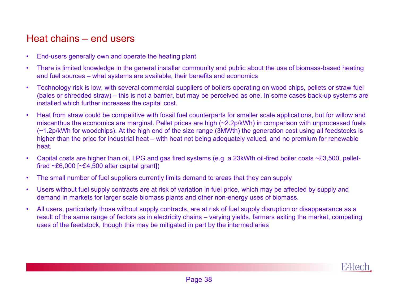### Heat chains – end users

- •End-users generally own and operate the heating plant
- • There is limited knowledge in the general installer community and public about the use of biomass-based heating and fuel sources – what systems are available, their benefits and economics
- • Technology risk is low, with several commercial suppliers of boilers operating on wood chips, pellets or straw fuel (bales or shredded straw) – this is not a barrier, but may be perceived as one. In some cases back-up systems are installed which further increases the capital cost.
- • Heat from straw could be competitive with fossil fuel counterparts for smaller scale applications, but for willow and miscanthus the economics are marginal. Pellet prices are high (~2.2p/kWh) in comparison with unprocessed fuels (~1.2p/kWh for woodchips). At the high end of the size range (3MWth) the generation cost using all feedstocks is higher than the price for industrial heat – with heat not being adequately valued, and no premium for renewable heat.
- • Capital costs are higher than oil, LPG and gas fired systems (e.g. a 23kWth oil-fired boiler costs ~£3,500, pelletfired  $\sim$ £6,000 [ $\sim$ £4,500 after capital grant])
- •The small number of fuel suppliers currently limits demand to areas that they can supply
- • Users without fuel supply contracts are at risk of variation in fuel price, which may be affected by supply and demand in markets for larger scale biomass plants and other non-energy uses of biomass.
- • All users, particularly those without supply contracts, are at risk of fuel supply disruption or disappearance as a result of the same range of factors as in electricity chains – varying yields, farmers exiting the market, competing uses of the feedstock, though this may be mitigated in part by the intermediaries

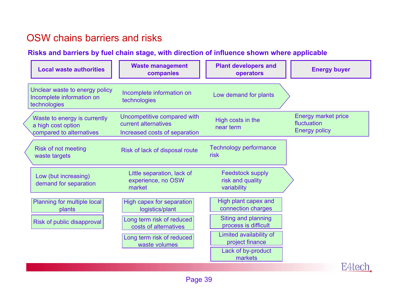# OSW chains barriers and risks

### **Risks and barriers by fuel chain stage, with direction of influence shown where applicable**

| <b>Local waste authorities</b>                                                 | <b>Waste management</b><br>companies                                                 | <b>Plant developers and</b><br>operators                   | <b>Energy buyer</b>                                               |
|--------------------------------------------------------------------------------|--------------------------------------------------------------------------------------|------------------------------------------------------------|-------------------------------------------------------------------|
| Unclear waste to energy policy<br>Incomplete information on<br>technologies    | Incomplete information on<br>technologies                                            | Low demand for plants                                      |                                                                   |
| Waste to energy is currently<br>a high cost option<br>compared to alternatives | Uncompetitive compared with<br>current alternatives<br>Increased costs of separation | High costs in the<br>near term                             | <b>Energy market price</b><br>fluctuation<br><b>Energy policy</b> |
| <b>Risk of not meeting</b><br>waste targets                                    | Risk of lack of disposal route                                                       | <b>Technology performance</b><br>risk                      |                                                                   |
| Low (but increasing)<br>demand for separation                                  | Little separation, lack of<br>experience, no OSW<br>market                           | <b>Feedstock supply</b><br>risk and quality<br>variability |                                                                   |
| Planning for multiple local<br>plants                                          | High capex for separation<br>logistics/plant                                         | High plant capex and<br>connection charges                 |                                                                   |
| Risk of public disapproval                                                     | Long term risk of reduced<br>costs of alternatives                                   | Siting and planning<br>process is difficult                |                                                                   |
|                                                                                | Long term risk of reduced<br>waste volumes                                           | Limited availability of<br>project finance                 |                                                                   |
|                                                                                |                                                                                      | Lack of by-product<br>markets                              |                                                                   |
|                                                                                |                                                                                      |                                                            | E4tech                                                            |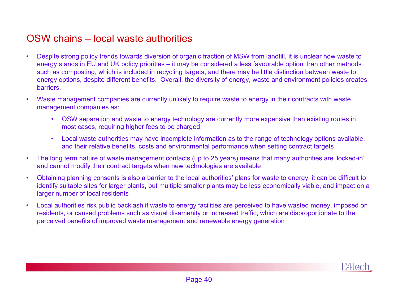### OSW chains – local waste authorities

- • Despite strong policy trends towards diversion of organic fraction of MSW from landfill, it is unclear how waste to energy stands in EU and UK policy priorities – it may be considered a less favourable option than other methods such as composting, which is included in recycling targets, and there may be little distinction between waste to energy options, despite different benefits. Overall, the diversity of energy, waste and environment policies creates barriers.
- • Waste management companies are currently unlikely to require waste to energy in their contracts with waste management companies as:
	- OSW separation and waste to energy technology are currently more expensive than existing routes in most cases, requiring higher fees to be charged.
	- • Local waste authorities may have incomplete information as to the range of technology options available, and their relative benefits, costs and environmental performance when setting contract targets
- • The long term nature of waste management contacts (up to 25 years) means that many authorities are 'locked-in' and cannot modify their contract targets when new technologies are available
- • Obtaining planning consents is also a barrier to the local authorities' plans for waste to energy; it can be difficult to identify suitable sites for larger plants, but multiple smaller plants may be less economically viable, and impact on a larger number of local residents
- • Local authorities risk public backlash if waste to energy facilities are perceived to have wasted money, imposed on residents, or caused problems such as visual disamenity or increased traffic, which are disproportionate to the perceived benefits of improved waste management and renewable energy generation

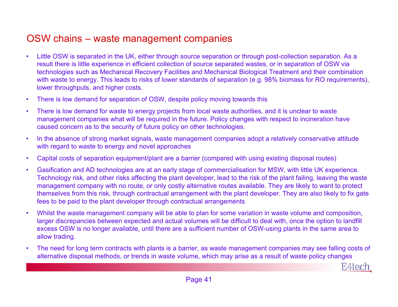### OSW chains – waste management companies

- • Little OSW is separated in the UK, either through source separation or through post-collection separation. As a result there is little experience in efficient collection of source separated wastes, or in separation of OSW via technologies such as Mechanical Recovery Facilities and Mechanical Biological Treatment and their combination with waste to energy. This leads to risks of lower standards of separation (e.g. 98% biomass for RO requirements), lower throughputs, and higher costs.
- •There is low demand for separation of OSW, despite policy moving towards this
- • There is low demand for waste to energy projects from local waste authorities, and it is unclear to waste management companies what will be required in the future. Policy changes with respect to incineration have caused concern as to the security of future policy on other technologies.
- • In the absence of strong market signals, waste management companies adopt a relatively conservative attitude with regard to waste to energy and novel approaches
- •Capital costs of separation equipment/plant are a barrier (compared with using existing disposal routes)
- • Gasification and AD technologies are at an early stage of commercialisation for MSW, with little UK experience. Technology risk, and other risks affecting the plant developer, lead to the risk of the plant failing, leaving the waste management company with no route, or only costly alternative routes available. They are likely to want to protect themselves from this risk, through contractual arrangement with the plant developer. They are also likely to fix gate fees to be paid to the plant developer through contractual arrangements
- • Whilst the waste management company will be able to plan for some variation in waste volume and composition, larger discrepancies between expected and actual volumes will be difficult to deal with, once the option to landfill excess OSW is no longer available, until there are a sufficient number of OSW-using plants in the same area to allow trading.
- • The need for long term contracts with plants is a barrier, as waste management companies may see falling costs of alternative disposal methods, or trends in waste volume, which may arise as a result of waste policy changes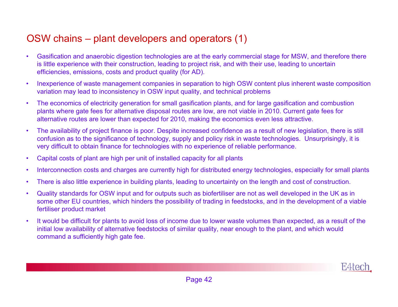## OSW chains – plant developers and operators (1)

- • Gasification and anaerobic digestion technologies are at the early commercial stage for MSW, and therefore there is little experience with their construction, leading to project risk, and with their use, leading to uncertain efficiencies, emissions, costs and product quality (for AD).
- • Inexperience of waste management companies in separation to high OSW content plus inherent waste composition variation may lead to inconsistency in OSW input quality, and technical problems
- • The economics of electricity generation for small gasification plants, and for large gasification and combustion plants where gate fees for alternative disposal routes are low, are not viable in 2010. Current gate fees for alternative routes are lower than expected for 2010, making the economics even less attractive.
- • The availability of project finance is poor. Despite increased confidence as a result of new legislation, there is still confusion as to the significance of technology, supply and policy risk in waste technologies. Unsurprisingly, it is very difficult to obtain finance for technologies with no experience of reliable performance.
- •Capital costs of plant are high per unit of installed capacity for all plants
- •Interconnection costs and charges are currently high for distributed energy technologies, especially for small plants
- •There is also little experience in building plants, leading to uncertainty on the length and cost of construction.
- • Quality standards for OSW input and for outputs such as biofertiliser are not as well developed in the UK as in some other EU countries, which hinders the possibility of trading in feedstocks, and in the development of a viable fertiliser product market
- • It would be difficult for plants to avoid loss of income due to lower waste volumes than expected, as a result of the initial low availability of alternative feedstocks of similar quality, near enough to the plant, and which would command a sufficiently high gate fee.

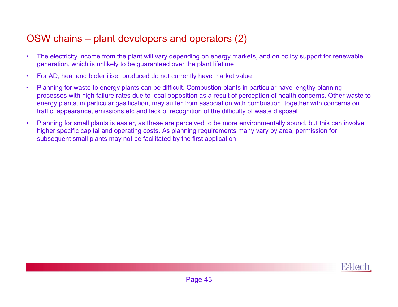# OSW chains – plant developers and operators (2)

- • The electricity income from the plant will vary depending on energy markets, and on policy support for renewable generation, which is unlikely to be guaranteed over the plant lifetime
- •For AD, heat and biofertiliser produced do not currently have market value
- • Planning for waste to energy plants can be difficult. Combustion plants in particular have lengthy planning processes with high failure rates due to local opposition as a result of perception of health concerns. Other waste to energy plants, in particular gasification, may suffer from association with combustion, together with concerns on traffic, appearance, emissions etc and lack of recognition of the difficulty of waste disposal
- • Planning for small plants is easier, as these are perceived to be more environmentally sound, but this can involve higher specific capital and operating costs. As planning requirements many vary by area, permission for subsequent small plants may not be facilitated by the first application

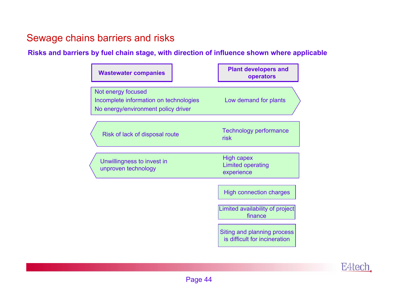### Sewage chains barriers and risks

### **Risks and barriers by fuel chain stage, with direction of influence shown where applicable**

| <b>Wastewater companies</b>                                                                         | <b>Plant developers and</b><br>operators                     |
|-----------------------------------------------------------------------------------------------------|--------------------------------------------------------------|
| Not energy focused<br>Incomplete information on technologies<br>No energy/environment policy driver | Low demand for plants                                        |
| Risk of lack of disposal route                                                                      | <b>Technology performance</b><br>risk                        |
| Unwillingness to invest in<br>unproven technology                                                   | High capex<br><b>Limited operating</b><br>experience         |
|                                                                                                     | <b>High connection charges</b>                               |
|                                                                                                     | Limited availability of project<br>finance                   |
|                                                                                                     | Siting and planning process<br>is difficult for incineration |

E4tech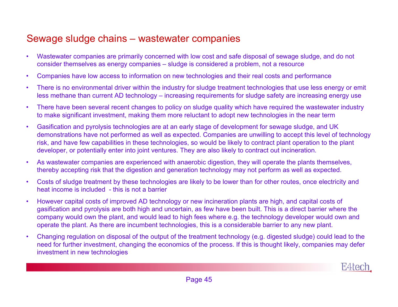### Sewage sludge chains – wastewater companies

- • Wastewater companies are primarily concerned with low cost and safe disposal of sewage sludge, and do not consider themselves as energy companies – sludge is considered a problem, not a resource
- •Companies have low access to information on new technologies and their real costs and performance
- • There is no environmental driver within the industry for sludge treatment technologies that use less energy or emit less methane than current AD technology – increasing requirements for sludge safety are increasing energy use
- • There have been several recent changes to policy on sludge quality which have required the wastewater industry to make significant investment, making them more reluctant to adopt new technologies in the near term
- • Gasification and pyrolysis technologies are at an early stage of development for sewage sludge, and UK demonstrations have not performed as well as expected. Companies are unwilling to accept this level of technology risk, and have few capabilities in these technologies, so would be likely to contract plant operation to the plant developer, or potentially enter into joint ventures. They are also likely to contract out incineration.
- • As wastewater companies are experienced with anaerobic digestion, they will operate the plants themselves, thereby accepting risk that the digestion and generation technology may not perform as well as expected.
- • Costs of sludge treatment by these technologies are likely to be lower than for other routes, once electricity and heat income is included - this is not a barrier
- • However capital costs of improved AD technology or new incineration plants are high, and capital costs of gasification and pyrolysis are both high and uncertain, as few have been built. This is a direct barrier where the company would own the plant, and would lead to high fees where e.g. the technology developer would own and operate the plant. As there are incumbent technologies, this is a considerable barrier to any new plant.
- • Changing regulation on disposal of the output of the treatment technology (e.g. digested sludge) could lead to the need for further investment, changing the economics of the process. If this is thought likely, companies may defer investment in new technologies

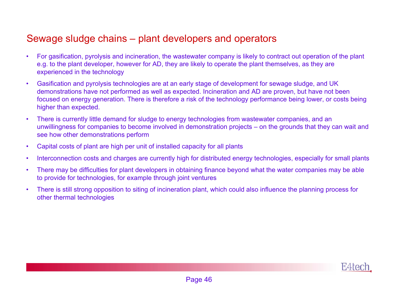### Sewage sludge chains – plant developers and operators

- • For gasification, pyrolysis and incineration, the wastewater company is likely to contract out operation of the plant e.g. to the plant developer, however for AD, they are likely to operate the plant themselves, as they are experienced in the technology
- • Gasification and pyrolysis technologies are at an early stage of development for sewage sludge, and UK demonstrations have not performed as well as expected. Incineration and AD are proven, but have not been focused on energy generation. There is therefore a risk of the technology performance being lower, or costs being higher than expected.
- • There is currently little demand for sludge to energy technologies from wastewater companies, and an unwillingness for companies to become involved in demonstration projects – on the grounds that they can wait and see how other demonstrations perform
- •Capital costs of plant are high per unit of installed capacity for all plants
- •Interconnection costs and charges are currently high for distributed energy technologies, especially for small plants
- • There may be difficulties for plant developers in obtaining finance beyond what the water companies may be able to provide for technologies, for example through joint ventures
- • There is still strong opposition to siting of incineration plant, which could also influence the planning process for other thermal technologies

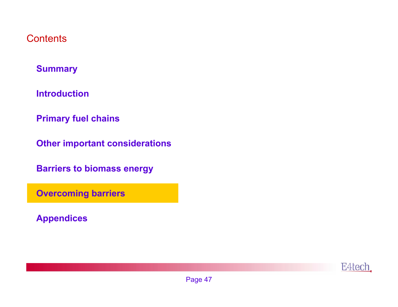### Contents

### **Summary**

**Introduction**

**Primary fuel chains**

**Other important considerations**

**Barriers to biomass energy**

**Overcoming barriers**

**Appendices**

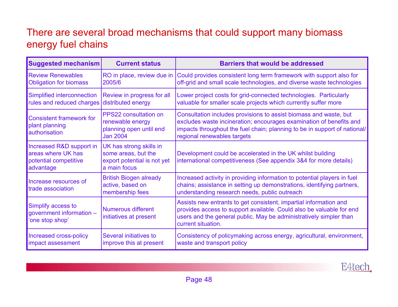# There are several broad mechanisms that could support many biomass energy fuel chains

| <b>Suggested mechanism</b>                                                           | <b>Current status</b>                                                                          | <b>Barriers that would be addressed</b>                                                                                                                                                                                                              |
|--------------------------------------------------------------------------------------|------------------------------------------------------------------------------------------------|------------------------------------------------------------------------------------------------------------------------------------------------------------------------------------------------------------------------------------------------------|
| <b>Review Renewables</b><br><b>Obligation for biomass</b>                            | RO in place, review due in<br>2005/6                                                           | Could provides consistent long term framework with support also for<br>off-grid and small scale technologies, and diverse waste technologies                                                                                                         |
| Simplified interconnection<br>rules and reduced charges                              | Review in progress for all<br>distributed energy                                               | Lower project costs for grid-connected technologies. Particularly<br>valuable for smaller scale projects which currently suffer more                                                                                                                 |
| <b>Consistent framework for</b><br>plant planning<br><b>authorisation</b>            | <b>PPS22 consultation on</b><br>renewable energy<br>planning open until end<br><b>Jan 2004</b> | Consultation includes provisions to assist biomass and waste, but<br>excludes waste incineration; encourages examination of benefits and<br>impacts throughout the fuel chain; planning to be in support of national/<br>regional renewables targets |
| Increased R&D support in<br>areas where UK has<br>potential competitive<br>advantage | UK has strong skills in<br>some areas, but the<br>export potential is not yet<br>a main focus  | Development could be accelerated in the UK whilst building<br>international competitiveness (See appendix 3&4 for more details)                                                                                                                      |
| Increase resources of<br>trade association                                           | <b>British Biogen already</b><br>active, based on<br>membership fees                           | Increased activity in providing information to potential players in fuel<br>chains; assistance in setting up demonstrations, identifying partners,<br>understanding research needs, public outreach                                                  |
| Simplify access to<br>government information -<br>'one stop shop'                    | <b>Numerous different</b><br>initiatives at present                                            | Assists new entrants to get consistent, impartial information and<br>provides access to support available. Could also be valuable for end<br>users and the general public. May be administratively simpler than<br>current situation.                |
| Increased cross-policy<br>impact assessment                                          | Several initiatives to<br>improve this at present                                              | Consistency of policymaking across energy, agricultural, environment,<br>waste and transport policy                                                                                                                                                  |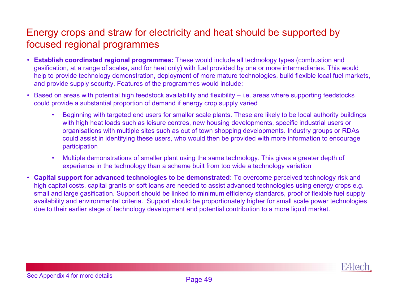# Energy crops and straw for electricity and heat should be supported by focused regional programmes

- **Establish coordinated regional programmes:** These would include all technology types (combustion and gasification, at a range of scales, and for heat only) with fuel provided by one or more intermediaries. This would help to provide technology demonstration, deployment of more mature technologies, build flexible local fuel markets, and provide supply security. Features of the programmes would include:
- • Based on areas with potential high feedstock availability and flexibility – i.e. areas where supporting feedstocks could provide a substantial proportion of demand if energy crop supply varied
	- • Beginning with targeted end users for smaller scale plants. These are likely to be local authority buildings with high heat loads such as leisure centres, new housing developments, specific industrial users or organisations with multiple sites such as out of town shopping developments. Industry groups or RDAs could assist in identifying these users, who would then be provided with more information to encourage participation
	- • Multiple demonstrations of smaller plant using the same technology. This gives a greater depth of experience in the technology than a scheme built from too wide a technology variation
- **Capital support for advanced technologies to be demonstrated:** To overcome perceived technology risk and high capital costs, capital grants or soft loans are needed to assist advanced technologies using energy crops e.g. small and large gasification. Support should be linked to minimum efficiency standards, proof of flexible fuel supply availability and environmental criteria. Support should be proportionately higher for small scale power technologies due to their earlier stage of technology development and potential contribution to a more liquid market.

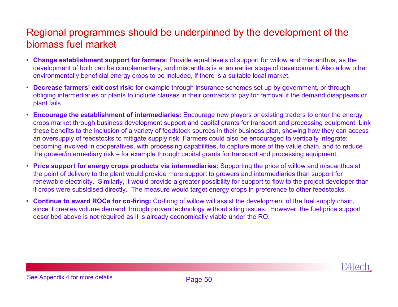### Regional programmes should be underpinned by the development of the biomass fuel market

- • **Change establishment support for farmers**: Provide equal levels of support for willow and miscanthus, as the development of both can be complementary, and miscanthus is at an earlier stage of development. Also allow other environmentally beneficial energy crops to be included, if there is a suitable local market.
- • **Decrease farmers' exit cost risk**: for example through insurance schemes set up by government, or through obliging intermediaries or plants to include clauses in their contracts to pay for removal if the demand disappears or plant fails
- • **Encourage the establishment of intermediaries:** Encourage new players or existing traders to enter the energy crops market through business development support and capital grants for transport and processing equipment. Link these benefits to the inclusion of a variety of feedstock sources in their business plan, showing how they can access an oversupply of feedstocks to mitigate supply risk. Farmers could also be encouraged to vertically integrate: becoming involved in cooperatives, with processing capabilities, to capture more of the value chain, and to reduce the grower/intermediary risk – for example through capital grants for transport and processing equipment.
- • **Price support for energy crops products via intermediaries:** Supporting the price of willow and miscanthus at the point of delivery to the plant would provide more support to growers and intermediaries than support for renewable electricity. Similarly, it would provide a greater possibility for support to flow to the project developer than if crops were subsidised directly. The measure would target energy crops in preference to other feedstocks.
- • **Continue to award ROCs for co-firing:** Co-firing of willow will assist the development of the fuel supply chain, since it creates volume demand through proven technology without siting issues. However, the fuel price support described above is not required as it is already economically viable under the RO.

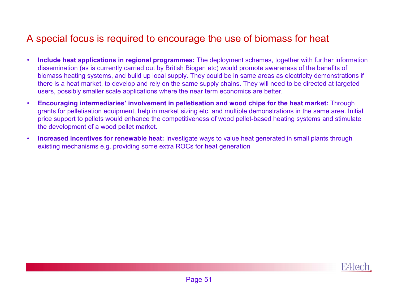## A special focus is required to encourage the use of biomass for heat

- • **Include heat applications in regional programmes:** The deployment schemes, together with further information dissemination (as is currently carried out by British Biogen etc) would promote awareness of the benefits of biomass heating systems, and build up local supply. They could be in same areas as electricity demonstrations if there is a heat market, to develop and rely on the same supply chains. They will need to be directed at targeted users, possibly smaller scale applications where the near term economics are better.
- • **Encouraging intermediaries' involvement in pelletisation and wood chips for the heat market:** Through grants for pelletisation equipment, help in market sizing etc, and multiple demonstrations in the same area. Initial price support to pellets would enhance the competitiveness of wood pellet-based heating systems and stimulate the development of a wood pellet market.
- • **Increased incentives for renewable heat:** Investigate ways to value heat generated in small plants through existing mechanisms e.g. providing some extra ROCs for heat generation

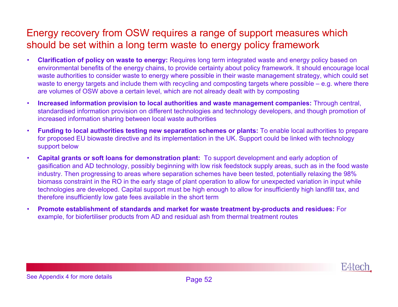# Energy recovery from OSW requires a range of support measures which should be set within a long term waste to energy policy framework

- • **Clarification of policy on waste to energy:** Requires long term integrated waste and energy policy based on environmental benefits of the energy chains, to provide certainty about policy framework. It should encourage local waste authorities to consider waste to energy where possible in their waste management strategy, which could set waste to energy targets and include them with recycling and composting targets where possible – e.g. where there are volumes of OSW above a certain level, which are not already dealt with by composting
- • **Increased information provision to local authorities and waste management companies:** Through central, standardised information provision on different technologies and technology developers, and though promotion of increased information sharing between local waste authorities
- • **Funding to local authorities testing new separation schemes or plants:** To enable local authorities to prepare for proposed EU biowaste directive and its implementation in the UK. Support could be linked with technology support below
- • **Capital grants or soft loans for demonstration plant:** To support development and early adoption of gasification and AD technology, possibly beginning with low risk feedstock supply areas, such as in the food waste industry. Then progressing to areas where separation schemes have been tested, potentially relaxing the 98% biomass constraint in the RO in the early stage of plant operation to allow for unexpected variation in input while technologies are developed. Capital support must be high enough to allow for insufficiently high landfill tax, and therefore insufficiently low gate fees available in the short term
- • **Promote establishment of standards and market for waste treatment by-products and residues:** For example, for biofertiliser products from AD and residual ash from thermal treatment routes

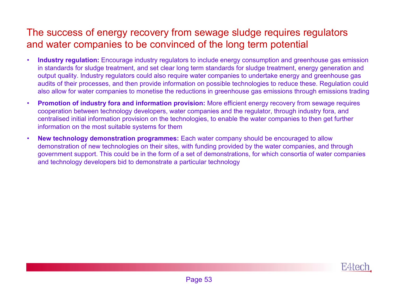# The success of energy recovery from sewage sludge requires regulators and water companies to be convinced of the long term potential

- • **Industry regulation:** Encourage industry regulators to include energy consumption and greenhouse gas emission in standards for sludge treatment, and set clear long term standards for sludge treatment, energy generation and output quality. Industry regulators could also require water companies to undertake energy and greenhouse gas audits of their processes, and then provide information on possible technologies to reduce these. Regulation could also allow for water companies to monetise the reductions in greenhouse gas emissions through emissions trading
- • **Promotion of industry fora and information provision:** More efficient energy recovery from sewage requires cooperation between technology developers, water companies and the regulator, through industry fora, and centralised initial information provision on the technologies, to enable the water companies to then get further information on the most suitable systems for them
- • **New technology demonstration programmes:** Each water company should be encouraged to allow demonstration of new technologies on their sites, with funding provided by the water companies, and through government support. This could be in the form of a set of demonstrations, for which consortia of water companies and technology developers bid to demonstrate a particular technology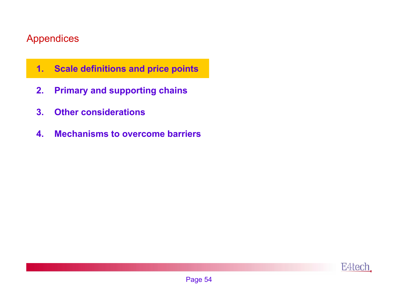# Appendices

- **1. Scale definitions and price points**
- **2.Primary and supporting chains**
- **3.Other considerations**
- **4.Mechanisms to overcome barriers**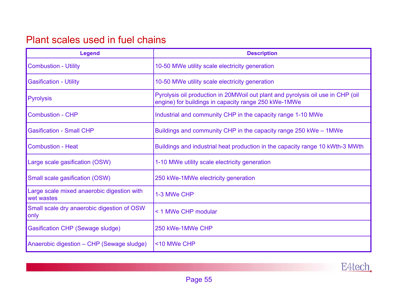### Plant scales used in fuel chains

| <b>Legend</b>                                                   | <b>Description</b>                                                                                                                      |
|-----------------------------------------------------------------|-----------------------------------------------------------------------------------------------------------------------------------------|
| <b>Combustion - Utility</b>                                     | 10-50 MWe utility scale electricity generation                                                                                          |
| <b>Gasification - Utility</b>                                   | 10-50 MWe utility scale electricity generation                                                                                          |
| <b>Pyrolysis</b>                                                | Pyrolysis oil production in 20MWoil out plant and pyrolysis oil use in CHP (oil<br>engine) for buildings in capacity range 250 kWe-1MWe |
| Combustion - CHP                                                | Industrial and community CHP in the capacity range 1-10 MWe                                                                             |
| <b>Gasification - Small CHP</b>                                 | Buildings and community CHP in the capacity range 250 kWe - 1MWe                                                                        |
| Combustion - Heat                                               | Buildings and industrial heat production in the capacity range 10 kWth-3 MWth                                                           |
| Large scale gasification (OSW)                                  | 1-10 MWe utility scale electricity generation                                                                                           |
| Small scale gasification (OSW)                                  | 250 kWe-1MWe electricity generation                                                                                                     |
| Large scale mixed anaerobic digestion with<br><b>wet wastes</b> | 1-3 MWe CHP                                                                                                                             |
| Small scale dry anaerobic digestion of OSW<br><b>only</b>       | < 1 MWe CHP modular                                                                                                                     |
| <b>Gasification CHP (Sewage sludge)</b>                         | 250 kWe-1MWe CHP                                                                                                                        |
| Anaerobic digestion – CHP (Sewage sludge)                       | <10 MWe CHP                                                                                                                             |

E4tech.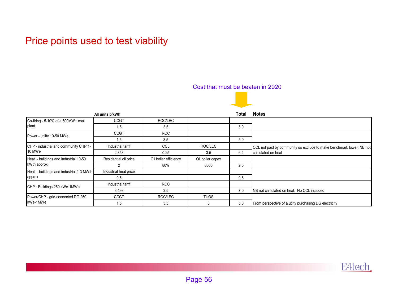## Price points used to test viability

#### Cost that must be beaten in 2020



|                                          | All units p/kWh       |                       |                  | Total | <b>Notes</b>                                                         |
|------------------------------------------|-----------------------|-----------------------|------------------|-------|----------------------------------------------------------------------|
| Co-firing - 5-10% of a 500MW+ coal       | <b>CCGT</b>           | ROC/LEC               |                  |       |                                                                      |
| plant                                    | 1.5                   | 3.5                   |                  | 5.0   |                                                                      |
| Power - utility 10-50 MWe                | <b>CCGT</b>           | ROC                   |                  |       |                                                                      |
|                                          | 1.5                   | 3.5                   |                  | 5.0   |                                                                      |
| CHP - industrial and community CHP 1-    | Industrial tariff     | <b>CCL</b>            | ROC/LEC          |       | CCL not paid by community so exclude to make benchmark lower. NB not |
| 10 MWe                                   | 2.853                 | 0.25                  | 3.5              | 6.4   | calculated on heat                                                   |
| Heat - buildings and industrial 10-50    | Residential oil price | Oil boiler efficiency | Oil boiler capex |       |                                                                      |
| kWth approx                              | 2                     | 80%                   | 3500             | 2.5   |                                                                      |
| Heat - buildings and industrial 1-3 MWth | Industrial heat price |                       |                  |       |                                                                      |
| approx                                   | 0.5                   |                       |                  | 0.5   |                                                                      |
|                                          | Industrial tariff     | <b>ROC</b>            |                  |       |                                                                      |
| CHP - Buildings 250 kWe-1MWe             | 3.493                 | 3.5                   |                  | 7.0   | NB not calculated on heat. No CCL included                           |
| Power/CHP - grid-connected DG 250        | <b>CCGT</b>           | ROC/LEC               | <b>TUOS</b>      |       |                                                                      |
| kWe-1MWe                                 | 1.5                   | 3.5                   | 0                | 5.0   | From perspective of a utlity purchasing DG electricity               |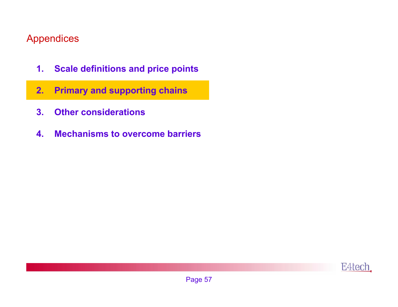# Appendices

- **1.Scale definitions and price points**
- **2.Primary and supporting chains**
- **3.Other considerations**
- **4.Mechanisms to overcome barriers**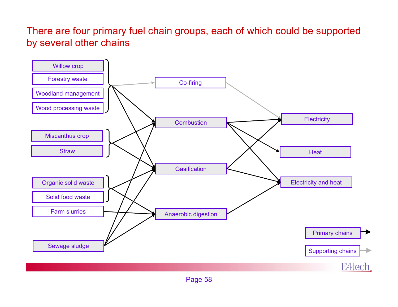# There are four primary fuel chain groups, each of which could be supported by several other chains

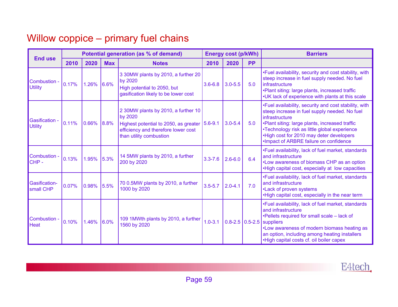# Willow coppice – primary fuel chains

|                                   | Potential generation (as % of demand) |       |            | <b>Energy cost (p/kWh)</b>                                                                                                                                        |             |             | <b>Barriers</b> |                                                                                                                                                                                                                                                                                                                    |
|-----------------------------------|---------------------------------------|-------|------------|-------------------------------------------------------------------------------------------------------------------------------------------------------------------|-------------|-------------|-----------------|--------------------------------------------------------------------------------------------------------------------------------------------------------------------------------------------------------------------------------------------------------------------------------------------------------------------|
| <b>End use</b>                    | 2010                                  | 2020  | <b>Max</b> | <b>Notes</b>                                                                                                                                                      | 2010        | 2020        | <b>PP</b>       |                                                                                                                                                                                                                                                                                                                    |
| Combustion -<br><b>Utility</b>    | 0.17%                                 | 1.26% | 6.6%       | 3 30MW plants by 2010, a further 20<br>by 2020<br>High potential to 2050, but<br>gasification likely to be lower cost                                             | $3.6 - 6.8$ | $3.0 - 5.5$ | 5.0             | .Fuel availability, security and cost stability, with<br>steep increase in fuel supply needed. No fuel<br>infrastructure<br>.Plant siting: large plants, increased traffic<br>. UK lack of experience with plants at this scale                                                                                    |
| Gasification<br><b>Utility</b>    | 0.11%                                 | 0.66% | $ 8.8\%$   | 2 30MW plants by 2010, a further 10<br>by 2020<br>Highest potential to 2050, as greater 5.6-9.1<br>efficiency and therefore lower cost<br>than utility combustion |             | $3.0 - 5.4$ | 5.0             | . Fuel availability, security and cost stability, with<br>steep increase in fuel supply needed. No fuel<br>infrastructure<br>.Plant siting: large plants, increased traffic<br>•Technology risk as little global experience<br>•High cost for 2010 may deter developers<br>. Impact of ARBRE failure on confidence |
| Combustion -<br>CHP-              | 0.13%                                 | 1.95% | 5.3%       | 14 5MW plants by 2010, a further<br>200 by 2020                                                                                                                   | $3.3 - 7.6$ | $2.6 - 6.0$ | 6.4             | . Fuel availability, lack of fuel market, standards<br>and infrastructure<br>•Low awareness of biomass CHP as an option<br>. High capital cost, especially at low capacities                                                                                                                                       |
| <b>Gasification-</b><br>small CHP | 0.07%                                 | 0.98% | 5.5%       | 70 0.5MW plants by 2010, a further<br>1000 by 2020                                                                                                                | $3.5 - 5.7$ | $2.0 - 4.1$ | 7.0             | . Fuel availability, lack of fuel market, standards<br>and infrastructure<br>•Lack of proven systems<br>.High capital cost, especially in the near term                                                                                                                                                            |
| Combustion -<br><b>Heat</b>       | 0.10%                                 | 1.46% | 6.0%       | 109 1MWth plants by 2010, a further<br>1560 by 2020                                                                                                               | $1.0 - 3.1$ |             |                 | . Fuel availability, lack of fuel market, standards<br>and infrastructure<br>. Pellets required for small scale - lack of<br>$0.8 - 2.5$ 0.5-2.5 suppliers<br>•Low awareness of modern biomass heating as<br>an option, including among heating installers<br>•High capital costs cf. oil boiler capex             |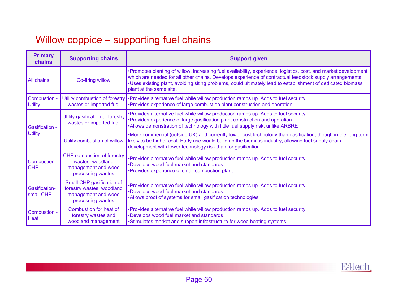# Willow coppice – supporting fuel chains

| <b>Primary</b><br>chains          | <b>Supporting chains</b>                                                                           | <b>Support given</b>                                                                                                                                                                                                                                                                                                                                                  |
|-----------------------------------|----------------------------------------------------------------------------------------------------|-----------------------------------------------------------------------------------------------------------------------------------------------------------------------------------------------------------------------------------------------------------------------------------------------------------------------------------------------------------------------|
| <b>All chains</b>                 | Co-firing willow                                                                                   | •Promotes planting of willow, increasing fuel availability, experience, logistics, cost, and market development<br>which are needed for all other chains. Develops experience of contractual feedstock supply arrangements.<br>•Uses existing plant, avoiding siting problems, could ultimately lead to establishment of dedicated biomass<br>plant at the same site. |
| Combustion -<br><b>Utility</b>    | Utility combustion of forestry<br>wastes or imported fuel                                          | •Provides alternative fuel while willow production ramps up. Adds to fuel security.<br>•Provides experience of large combustion plant construction and operation                                                                                                                                                                                                      |
| <b>Gasification -</b>             | Utility gasification of forestry<br>wastes or imported fuel                                        | •Provides alternative fuel while willow production ramps up. Adds to fuel security.<br>•Provides experience of large gasification plant construction and operation<br>•Allows demonstration of technology with little fuel supply risk, unlike ARBRE                                                                                                                  |
| <b>Utility</b>                    | Utility combustion of willow                                                                       | •More commercial (outside UK) and currently lower cost technology than gasification, though in the long term<br>likely to be higher cost. Early use would build up the biomass industry, allowing fuel supply chain<br>development with lower technology risk than for gasification.                                                                                  |
| Combustion -<br>CHP-              | <b>CHP</b> combustion of forestry<br>wastes, woodland<br>management and wood<br>processing wastes  | •Provides alternative fuel while willow production ramps up. Adds to fuel security.<br>•Develops wood fuel market and standards<br>•Provides experience of small combustion plant                                                                                                                                                                                     |
| <b>Gasification-</b><br>small CHP | Small CHP gasification of<br>forestry wastes, woodland<br>management and wood<br>processing wastes | •Provides alternative fuel while willow production ramps up. Adds to fuel security.<br>•Develops wood fuel market and standards<br>•Allows proof of systems for small gasification technologies                                                                                                                                                                       |
| Combustion -<br>Heat              | Combustion for heat of<br>forestry wastes and<br>woodland management                               | •Provides alternative fuel while willow production ramps up. Adds to fuel security.<br>•Develops wood fuel market and standards<br>•Stimulates market and support infrastructure for wood heating systems                                                                                                                                                             |

E4tech.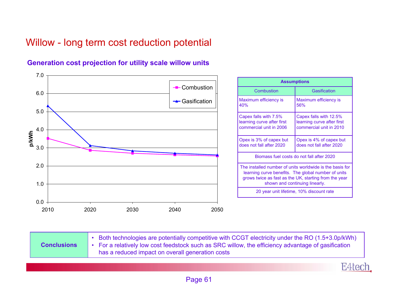# Willow - long term cost reduction potential



### **Generation cost projection for utility scale willow units**

| <b>Conclusions</b> | • Both technologies are potentially competitive with CCGT electricity under the RO (1.5+3.0p/kWh)<br>For a relatively low cost feedstock such as SRC willow, the efficiency advantage of gasification<br>has a reduced impact on overall generation costs |
|--------------------|-----------------------------------------------------------------------------------------------------------------------------------------------------------------------------------------------------------------------------------------------------------|
|--------------------|-----------------------------------------------------------------------------------------------------------------------------------------------------------------------------------------------------------------------------------------------------------|

E4tec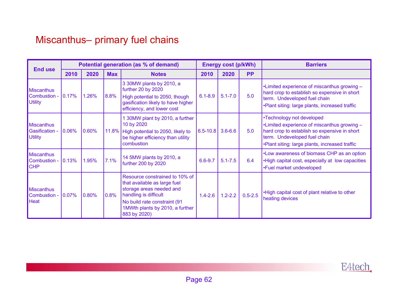### Miscanthus– primary fuel chains

| <b>End use</b>                                               |       |           | Potential generation (as % of demand) |                                                                                                                                                                                                         |              | <b>Energy cost (p/kWh)</b> |             | <b>Barriers</b>                                                                                                                                                                                            |
|--------------------------------------------------------------|-------|-----------|---------------------------------------|---------------------------------------------------------------------------------------------------------------------------------------------------------------------------------------------------------|--------------|----------------------------|-------------|------------------------------------------------------------------------------------------------------------------------------------------------------------------------------------------------------------|
|                                                              | 2010  | 2020      | <b>Max</b>                            | <b>Notes</b>                                                                                                                                                                                            | 2010         | 2020                       | <b>PP</b>   |                                                                                                                                                                                                            |
| <b>Miscanthus</b><br>Combustion -<br><b>Utility</b>          | 0.17% | 1.26%     | 8.8%                                  | 3 30MW plants by 2010, a<br>further 20 by 2020<br>High potential to 2050, though<br>gasification likely to have higher<br>efficiency, and lower cost                                                    | $6.1 - 8.9$  | $5.1 - 7.0$                | 5.0         | •Limited experience of miscanthus growing -<br>hard crop to establish so expensive in short<br>term. Undeveloped fuel chain<br>.Plant siting: large plants, increased traffic                              |
| <b>Miscanthus</b><br><b>Gasification -</b><br><b>Utility</b> | 0.06% | $ 0.60\%$ | 11.8%                                 | 1 30MW plant by 2010, a further<br>10 by 2020<br>High potential to 2050, likely to<br>be higher efficiency than utility<br>combustion                                                                   | $6.5 - 10.8$ | $3.6 - 6.6$                | 5.0         | •Technology not developed<br>•Limited experience of miscanthus growing -<br>hard crop to establish so expensive in short<br>term. Undeveloped fuel chain<br>.Plant siting: large plants, increased traffic |
| <b>Miscanthus</b><br>Combustion -<br><b>CHP</b>              | 0.13% | 1.95%     | 7.1%                                  | 14 5MW plants by 2010, a<br>further 200 by 2020                                                                                                                                                         | $6.6 - 9.7$  | $5.1 - 7.5$                | 6.4         | . Low awareness of biomass CHP as an option<br>. High capital cost, especially at low capacities<br>•Fuel market undeveloped                                                                               |
| <b>Miscanthus</b><br>Combustion -<br><b>Heat</b>             | 0.07% | 0.80%     | 0.8%                                  | Resource constrained to 10% of<br>that available as large fuel<br>storage areas needed and<br>handling is difficult<br>No build rate constraint (91)<br>1MWth plants by 2010, a further<br>883 by 2020) | $1.4 - 2.6$  | $1.2 - 2.2$                | $0.5 - 2.5$ | .High capital cost of plant relative to other<br>heating devices                                                                                                                                           |

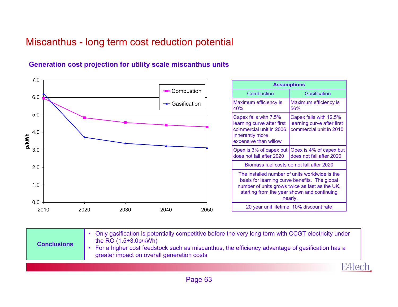# Miscanthus - long term cost reduction potential



### **Generation cost projection for utility scale miscanthus units**

| greater impact on overall generation costs | For a higher cost feedstock such as miscanthus, the efficiency advantage of gasification has a |
|--------------------------------------------|------------------------------------------------------------------------------------------------|
|                                            | E4te                                                                                           |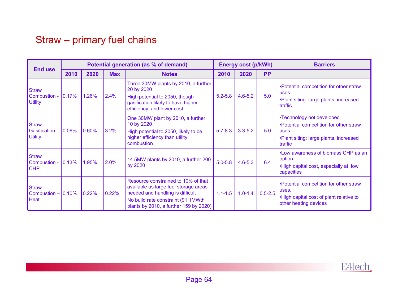### Straw – primary fuel chains

| <b>End use</b>                                          |           |       |            | Potential generation (as % of demand)                                                                                                                                                            |             | <b>Energy cost (p/kWh)</b> |                 | <b>Barriers</b>                                                                                                                  |
|---------------------------------------------------------|-----------|-------|------------|--------------------------------------------------------------------------------------------------------------------------------------------------------------------------------------------------|-------------|----------------------------|-----------------|----------------------------------------------------------------------------------------------------------------------------------|
|                                                         | 2010      | 2020  | <b>Max</b> | <b>Notes</b>                                                                                                                                                                                     | 2010        | 2020                       | <b>PP</b>       |                                                                                                                                  |
| <b>Straw</b><br>Combustion - 0.17%<br><b>Utility</b>    |           | 1.26% | 2.4%       | Three 30MW plants by 2010, a further<br>20 by 2020<br>High potential to 2050, though<br>gasification likely to have higher<br>efficiency, and lower cost                                         | $5.2 - 5.8$ | $4.6 - 5.2$                | 5.0             | •Potential competition for other straw<br>uses.<br>•Plant siting: large plants, increased<br>traffic                             |
| <b>Straw</b><br><b>Gasification -</b><br><b>Utility</b> | $10.06\%$ | 0.60% | 3.2%       | One 30MW plant by 2010, a further<br>10 by 2020<br>High potential to 2050, likely to be<br>higher efficiency than utility<br>combustion                                                          | $5.7 - 8.3$ | $3.3 - 5.2$                | 5.0             | •Technology not developed<br>•Potential competition for other straw<br>uses<br>•Plant siting: large plants, increased<br>traffic |
| <b>Straw</b><br>Combustion - $ 0.13\%$<br><b>CHP</b>    |           | 1.95% | 2.0%       | 14 5MW plants by 2010, a further 200<br>by 2020                                                                                                                                                  | $5.0 - 5.8$ | $4.6 - 5.3$                | 6.4             | . Low awareness of biomass CHP as an<br>option<br>•High capital cost, especially at low<br>capacities                            |
| <b>Straw</b><br>Combustion $-$ 0.10%<br>Heat            |           | 0.22% | 0.22%      | Resource constrained to 10% of that<br>available as large fuel storage areas<br>needed and handling is difficult<br>No build rate constraint (91 1MWth<br>plants by 2010, a further 159 by 2020) | $1.1 - 1.5$ | $1.0 - 1.4$                | $  0.5 - 2.5  $ | •Potential competition for other straw<br>uses.<br>•High capital cost of plant relative to<br>other heating devices              |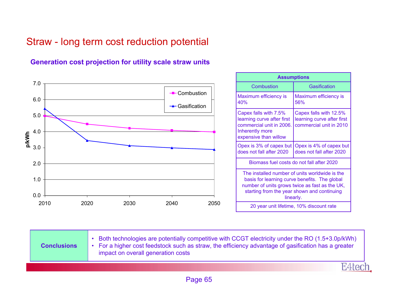# Straw - long term cost reduction potential





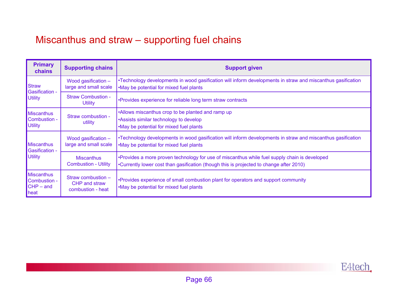# Miscanthus and straw – supporting fuel chains

| <b>Primary</b><br>chains                                 | <b>Supporting chains</b>                                        | <b>Support given</b>                                                                                                                                                                     |
|----------------------------------------------------------|-----------------------------------------------------------------|------------------------------------------------------------------------------------------------------------------------------------------------------------------------------------------|
| <b>Straw</b><br><b>Gasification -</b>                    | Wood gasification -<br>large and small scale                    | •Technology developments in wood gasification will inform developments in straw and miscanthus gasification<br>.May be potential for mixed fuel plants                                   |
| <b>Utility</b>                                           | <b>Straw Combustion -</b><br><b>Utility</b>                     | •Provides experience for reliable long term straw contracts                                                                                                                              |
| <b>Miscanthus</b><br>Combustion -<br><b>Utility</b>      | Straw combustion -<br>utility                                   | •Allows miscanthus crop to be planted and ramp up<br>•Assists similar technology to develop<br>.May be potential for mixed fuel plants                                                   |
| <b>Miscanthus</b><br><b>Gasification -</b>               | Wood gasification -<br>large and small scale                    | •Technology developments in wood gasification will inform developments in straw and miscanthus gasification<br>.May be potential for mixed fuel plants                                   |
| <b>Utility</b>                                           | <b>Miscanthus</b><br><b>Combustion - Utility</b>                | •Provides a more proven technology for use of miscanthus while fuel supply chain is developed<br>•Currently lower cost than gasification (though this is projected to change after 2010) |
| <b>Miscanthus</b><br>Combustion -<br>$CHP - and$<br>heat | Straw combustion -<br><b>CHP</b> and straw<br>combustion - heat | •Provides experience of small combustion plant for operators and support community<br>.May be potential for mixed fuel plants                                                            |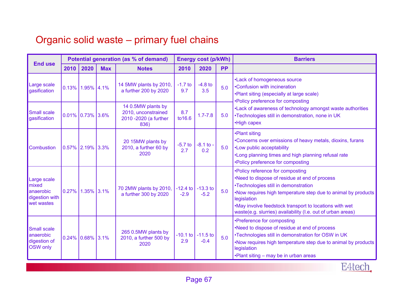# Organic solid waste – primary fuel chains

| <b>End use</b>                                                     | Potential generation (as % of demand) |                         |            |                                                                             | <b>Energy cost (p/kWh)</b> |                      |           | <b>Barriers</b>                                                                                                                                                                                                                                                                                                                     |  |
|--------------------------------------------------------------------|---------------------------------------|-------------------------|------------|-----------------------------------------------------------------------------|----------------------------|----------------------|-----------|-------------------------------------------------------------------------------------------------------------------------------------------------------------------------------------------------------------------------------------------------------------------------------------------------------------------------------------|--|
|                                                                    | 2010                                  | 2020                    | <b>Max</b> | <b>Notes</b>                                                                | 2010                       | 2020                 | <b>PP</b> |                                                                                                                                                                                                                                                                                                                                     |  |
| Large scale<br>gasification                                        | 0.13%                                 | 1.95% 4.1%              |            | 14 5MW plants by 2010,<br>a further 200 by 2020                             | $-1.7$ to<br>9.7           | $-4.8$ to<br>3.5     | 5.0       | •Lack of homogeneous source<br>•Confusion with incineration<br>.Plant siting (especially at large scale)<br>•Policy preference for composting                                                                                                                                                                                       |  |
| <b>Small scale</b><br>gasification                                 |                                       | $0.01\%$ 0.73% 3.6%     |            | 14 0.5MW plants by<br>2010, unconstrained<br>2010 - 2020 (a further<br>836) | 8.7<br>to16.6              | $1.7 - 7.8$          | 5.0       | •Lack of awareness of technology amongst waste authorities<br>•Technologies still in demonstration, none in UK<br>•High capex                                                                                                                                                                                                       |  |
| Combustion                                                         |                                       | $0.57\%$   2.19%   3.3% |            | 20 15MW plants by<br>2010, a further 60 by<br>2020                          | $-5.7$ to<br>2.7           | $-8.1$ to $-$<br>0.2 | 5.0       | •Plant siting<br>•Concerns over emissions of heavy metals, dioxins, furans<br>•Low public acceptability<br>. Long planning times and high planning refusal rate<br>•Policy preference for composting                                                                                                                                |  |
| Large scale<br>mixed<br>anaerobic<br>digestion with<br>wet wastes  | 0.27%                                 | 1.35% 3.1%              |            | 70 2MW plants by 2010,<br>a further 300 by 2020                             | $-12.4$ to<br>$-2.9$       | $-13.3$ to<br>$-5.2$ | 5.0       | •Policy reference for composting<br>•Need to dispose of residue at end of process<br>•Technologies still in demonstration<br>. Now requires high temperature step due to animal by products<br>legislation<br>.May involve feedstock transport to locations with wet<br>waste(e.g. slurries) availability (I.e. out of urban areas) |  |
| <b>Small scale</b><br>anaerobic<br>digestion of<br><b>OSW</b> only |                                       | $0.24\%$ 0.68% 3.1%     |            | 265 0.5MW plants by<br>2010, a further 500 by<br>2020                       | $-10.1$ to $\vert$<br>2.9  | $-11.5$ to<br>$-0.4$ | 5.0       | •Preference for composting<br>•Need to dispose of residue at end of process<br>•Technologies still in demonstration for OSW in UK<br>. Now requires high temperature step due to animal by products<br>legislation<br>. Plant siting – may be in urban areas                                                                        |  |
| E4tech                                                             |                                       |                         |            |                                                                             |                            |                      |           |                                                                                                                                                                                                                                                                                                                                     |  |

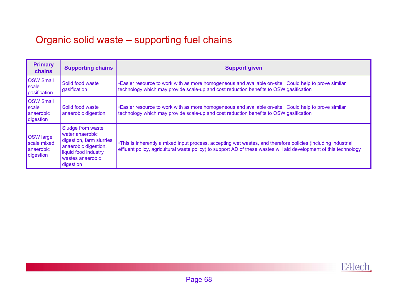# Organic solid waste – supporting fuel chains

| <b>Primary</b><br>chains                                  | <b>Supporting chains</b>                                                                                                                                 | <b>Support given</b>                                                                                                                                                                                                               |  |  |  |  |
|-----------------------------------------------------------|----------------------------------------------------------------------------------------------------------------------------------------------------------|------------------------------------------------------------------------------------------------------------------------------------------------------------------------------------------------------------------------------------|--|--|--|--|
| <b>OSW Small</b><br>scale<br>gasification                 | Solid food waste<br>gasification                                                                                                                         | •Easier resource to work with as more homogeneous and available on-site. Could help to prove similar<br>technology which may provide scale-up and cost reduction benefits to OSW gasification                                      |  |  |  |  |
| <b>OSW Small</b><br>scale<br>anaerobic<br>digestion       | Solid food waste<br>anaerobic digestion                                                                                                                  | •Easier resource to work with as more homogeneous and available on-site. Could help to prove similar<br>technology which may provide scale-up and cost reduction benefits to OSW gasification                                      |  |  |  |  |
| <b>OSW</b> large<br>scale mixed<br>anaerobic<br>digestion | <b>Sludge from waste</b><br>water anaerobic<br>digestion, farm slurries<br>anaerobic digestion,<br>liquid food industry<br>wastes anaerobic<br>digestion | •This is inherently a mixed input process, accepting wet wastes, and therefore policies (including industrial<br>effluent policy, agricultural waste policy) to support AD of these wastes will aid development of this technology |  |  |  |  |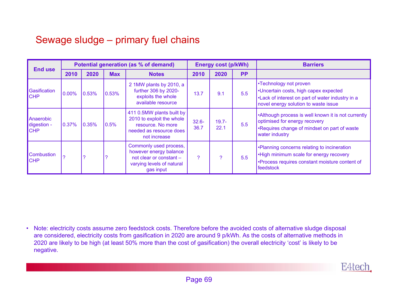### Sewage sludge – primary fuel chains

| <b>End use</b>                         | Potential generation (as % of demand) |           |            |                                                                                                                        | <b>Energy cost (p/kWh)</b> |                  |           | <b>Barriers</b>                                                                                                                                             |
|----------------------------------------|---------------------------------------|-----------|------------|------------------------------------------------------------------------------------------------------------------------|----------------------------|------------------|-----------|-------------------------------------------------------------------------------------------------------------------------------------------------------------|
|                                        | 2010                                  | 2020      | <b>Max</b> | <b>Notes</b>                                                                                                           | 2010                       | 2020             | <b>PP</b> |                                                                                                                                                             |
| Gasification<br><b>CHP</b>             | 0.00%                                 | $ 0.53\%$ | 0.53%      | 2 1MW plants by 2010, a<br>further 306 by 2020-<br>exploits the whole<br>available resource                            | 13.7                       | 9.1              | 5.5       | •Technology not proven<br>•Uncertain costs, high capex expected<br>•Lack of interest on part of water industry in a<br>novel energy solution to waste issue |
| Anaerobic<br>digestion -<br><b>CHP</b> | 0.37%                                 | 0.35%     | $ 0.5\% $  | 411 0.5MW plants built by<br>2010 to exploit the whole<br>resource. No more<br>needed as resource does<br>not increase | $32.6 -$<br>36.7           | $19.7 -$<br>22.1 | 5.5       | •Although process is well known it is not currently<br>optimised for energy recovery<br>•Requires change of mindset on part of waste<br>water industry      |
| <b>Combustion</b><br><b>ICHP</b>       |                                       |           |            | Commonly used process,<br>however energy balance<br>not clear or constant -<br>varying levels of natural<br>gas input  | 2                          | 2                | 5.5       | •Planning concerns relating to incineration<br>•High minimum scale for energy recovery<br>•Process requires constant moisture content of<br>feedstock       |

• Note: electricity costs assume zero feedstock costs. Therefore before the avoided costs of alternative sludge disposal are considered, electricity costs from gasification in 2020 are around 9 p/kWh. As the costs of alternative methods in 2020 are likely to be high (at least 50% more than the cost of gasification) the overall electricity 'cost' is likely to be negative.

E4tec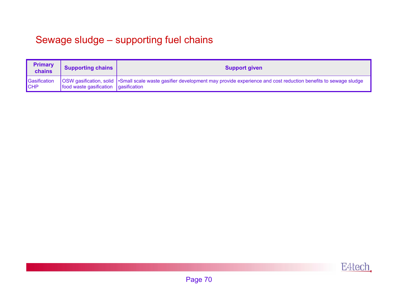# Sewage sludge – supporting fuel chains

| <b>Primary</b><br>chains   | <b>Supporting chains</b>                             | <b>Support given</b>                                                                                                                |
|----------------------------|------------------------------------------------------|-------------------------------------------------------------------------------------------------------------------------------------|
| Gasification<br><b>CHP</b> | $\vert$ food waste gasification $\vert$ gasification | OSW gasification, solid  Small scale waste gasifier development may provide experience and cost reduction benefits to sewage sludge |

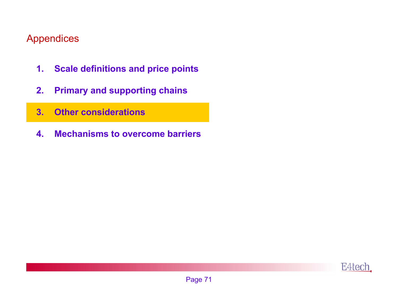## Appendices

- **1.Scale definitions and price points**
- **2.Primary and supporting chains**
- **3.Other considerations**
- **4.Mechanisms to overcome barriers**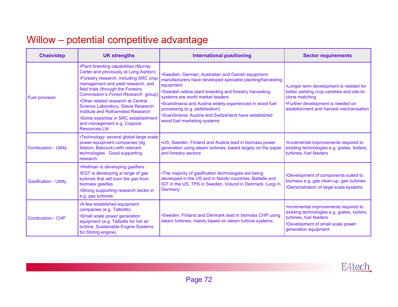### Willow – potential competitive advantage

| <b>Chain/step</b>             | <b>UK strengths</b>                                                                                                                                                                                                                                                                                                                                                                                                                                        | <b>International positioning</b>                                                                                                                                                                                                                                                                                                                                                                                    | <b>Sector requirements</b>                                                                                                                                                              |  |
|-------------------------------|------------------------------------------------------------------------------------------------------------------------------------------------------------------------------------------------------------------------------------------------------------------------------------------------------------------------------------------------------------------------------------------------------------------------------------------------------------|---------------------------------------------------------------------------------------------------------------------------------------------------------------------------------------------------------------------------------------------------------------------------------------------------------------------------------------------------------------------------------------------------------------------|-----------------------------------------------------------------------------------------------------------------------------------------------------------------------------------------|--|
| <b>Fuel provision</b>         | •Plant breeding capabilities (Murray<br>Carter and previously at Long Ashton)<br>•Forestry research, including SRC crop<br>management and yield research, and<br>field trials (through the Forestry<br>Commission's Forest Research group<br>•Other related research at Central<br>Science Laboratory, Silsoe Research<br>Institute and Rothamsted Research<br>•Some expertise in SRC establishment<br>and management e.g. Coppice<br><b>Resources Ltd</b> | *Swedish, German, Australian and Danish equipment<br>manufacturers have developed specialist planting/harvesting<br>equipment<br>•Swedish willow plant breeding and forestry harvesting<br>systems are world market leaders<br>*Scandinavia and Austria widely experienced in wood fuel<br>processing (e.g. pelletisation)<br>•Scandinavia, Austria and Switzerland have established<br>wood fuel marketing systems | •Longer term development is needed for<br>better yielding crop varieties and site-to-<br>clone matching<br>•Further development is needed on<br>establishment and harvest mechanisation |  |
| <b>Combustion - Utility</b>   | •Technology: several global large scale<br>power equipment companies (eg<br>Alstom, Babcock) with relevant<br>technologies. Good supporting<br>research.                                                                                                                                                                                                                                                                                                   | .US, Sweden, Finland and Austria lead in biomass power<br>generation using steam turbines, based largely on the paper<br>and forestry sectors                                                                                                                                                                                                                                                                       | •Incremental improvements required to<br>existing technologies e.g. grates, boilers,<br>turbines, fuel feeders                                                                          |  |
| <b>Gasification - Utility</b> | .Wellman is developing gasifiers<br>•EGT is developing a range of gas<br>turbines that will burn the gas from<br>biomass gasifies<br>•Strong supporting research sector in<br>e.g. gas turbines                                                                                                                                                                                                                                                            | •The majority of gasification technologies are being<br>developed in the US and in Nordic countries. Battelle and<br>IGT in the US, TPS in Sweden, Volund in Denmark, Lurgi in<br>Germany                                                                                                                                                                                                                           | •Development of components suited to<br>biomass e.g. gas clean-up, gas turbines<br>•Demonstration of large scale systems                                                                |  |
| Combustion - CHP              | •A few established equipment<br>companies (e.g. Talbotts)<br>•Small scale power generation<br>equipment (e.g. Talbotts for hot air<br>turbine, Sustainable Engine Systems<br>for Stirling engine)                                                                                                                                                                                                                                                          | .Sweden, Finland and Denmark lead in biomass CHP using<br>steam turbines, mainly based on steam turbine systems                                                                                                                                                                                                                                                                                                     | •Incremental improvements required to<br>existing technologies e.g. grates, boilers,<br>turbines, fuel feeders<br>*Development of small scale power<br>generation equipment             |  |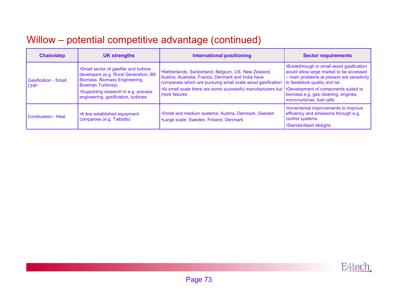### Willow – potential competitive advantage (continued)

| <b>Chain/step</b>                           | <b>UK strengths</b>                                                                                                                                                                                                        | <b>International positioning</b>                                                                                                                                                                                                                         | <b>Sector requirements</b>                                                                                                                                                                                                                                                     |
|---------------------------------------------|----------------------------------------------------------------------------------------------------------------------------------------------------------------------------------------------------------------------------|----------------------------------------------------------------------------------------------------------------------------------------------------------------------------------------------------------------------------------------------------------|--------------------------------------------------------------------------------------------------------------------------------------------------------------------------------------------------------------------------------------------------------------------------------|
| <b>Gasification - Small</b><br><b>I</b> CHP | •Small sector of gasifier and turbine<br>developers (e.g. Rural Generation, B9<br>Biomass, Biomass Engineering,<br><b>Bowman Turbines</b> )<br>•Supporting research in e.g. process<br>engineering, gasification, turbines | •Netherlands, Switzerland, Belgium, US, New Zealand,<br>Austria, Australia, France, Denmark and India have<br>companies which are pursuing small scale wood gasification<br>•At small scale there are some successful manufacturers but<br>more failures | •Breakthrough in small wood gasification<br>would allow large market to be accessed<br>- main problems at present are sensitivity<br>to feedstock quality and tar.<br>Development of components suited to<br>biomass e.g. gas cleaning, engines,<br>micro-turbines, fuel cells |
| Combustion - Heat                           | •A few established equipment<br>companies (e.g. Talbotts)                                                                                                                                                                  | Small and medium systems: Austria, Denmark, Sweden<br>•Large scale: Sweden, Finland, Denmark                                                                                                                                                             | •Incremental improvements to improve<br>efficiency and emissions through e.g.<br>control systems<br>•Standardised designs                                                                                                                                                      |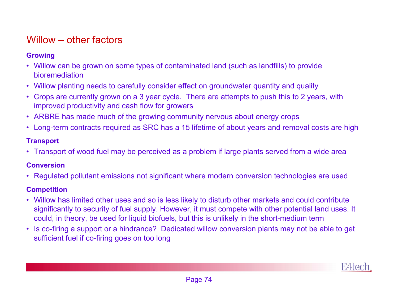# Willow – other factors

### **Growing**

- Willow can be grown on some types of contaminated land (such as landfills) to provide bioremediation
- Willow planting needs to carefully consider effect on groundwater quantity and quality
- Crops are currently grown on a 3 year cycle. There are attempts to push this to 2 years, with improved productivity and cash flow for growers
- ARBRE has made much of the growing community nervous about energy crops
- Long-term contracts required as SRC has a 15 lifetime of about years and removal costs are high

### **Transport**

• Transport of wood fuel may be perceived as a problem if large plants served from a wide area

#### **Conversion**

• Regulated pollutant emissions not significant where modern conversion technologies are used

### **Competition**

- Willow has limited other uses and so is less likely to disturb other markets and could contribute significantly to security of fuel supply. However, it must compete with other potential land uses. It could, in theory, be used for liquid biofuels, but this is unlikely in the short-medium term
- Is co-firing a support or a hindrance? Dedicated willow conversion plants may not be able to get sufficient fuel if co-firing goes on too long

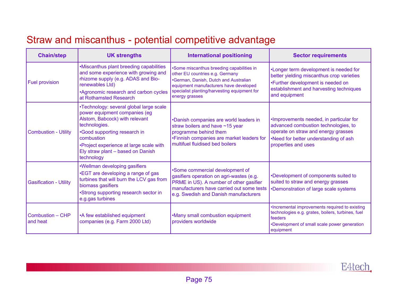### Straw and miscanthus - potential competitive advantage

| <b>Chain/step</b>             | <b>UK strengths</b>                                                                                                                                                                                                                                                     | <b>International positioning</b>                                                                                                                                                                                                          | <b>Sector requirements</b>                                                                                                                                                              |
|-------------------------------|-------------------------------------------------------------------------------------------------------------------------------------------------------------------------------------------------------------------------------------------------------------------------|-------------------------------------------------------------------------------------------------------------------------------------------------------------------------------------------------------------------------------------------|-----------------------------------------------------------------------------------------------------------------------------------------------------------------------------------------|
| <b>Fuel provision</b>         | •Miscanthus plant breeding capabilities<br>and some experience with growing and<br>rhizome supply (e.g. ADAS and Bio-<br>renewables Ltd)<br>•Agronomic research and carbon cycles<br>at Rothamsted Research                                                             | •Some miscanthus breeding capabilities in<br>other EU countries e.g. Germany<br><b>.</b> German, Danish, Dutch and Australian<br>equipment manufacturers have developed<br>specialist planting/harvesting equipment for<br>energy grasses | •Longer term development is needed for<br>better yielding miscanthus crop varieties<br>•Further development is needed on<br>establishment and harvesting techniques<br>and equipment    |
| <b>Combustion - Utility</b>   | •Technology: several global large scale<br>power equipment companies (eg<br>Alstom, Babcock) with relevant<br>technologies.<br>•Good supporting research in<br>combustion<br>•Project experience at large scale with<br>Ely straw plant - based on Danish<br>technology | •Danish companies are world leaders in<br>straw boilers and have ~15 year<br>programme behind them<br>•Finnish companies are market leaders for<br>multifuel fluidised bed boilers                                                        | . Improvements needed, in particular for<br>advanced combustion technologies, to<br>operate on straw and energy grasses<br>•Need for better understanding of ash<br>properties and uses |
| <b>Gasification - Utility</b> | .Wellman developing gasifiers<br>•EGT are developing a range of gas<br>turbines that will burn the LCV gas from<br>biomass gasifiers<br>•Strong supporting research sector in<br>e.g.gas turbines                                                                       | •Some commercial development of<br>gasifiers operation on agri-wastes (e.g.<br>PRME in US). A number of other gasifier<br>manufacturers have carried out some tests<br>e.g. Swedish and Danish manufacturers                              | •Development of components suited to<br>suited to straw and energy grasses<br>•Demonstration of large scale systems                                                                     |
| Combustion - CHP<br>and heat  | •A few established equipment<br>companies (e.g. Farm 2000 Ltd)                                                                                                                                                                                                          | •Many small combustion equipment<br>providers worldwide                                                                                                                                                                                   | •Incremental improvements required to existing<br>technologies e.g. grates, boilers, turbines, fuel<br>feeders<br>*Development of small scale power generation<br>equipment             |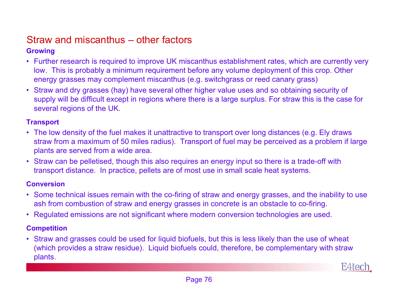### Straw and miscanthus – other factors **Growing**

- Further research is required to improve UK miscanthus establishment rates, which are currently very low. This is probably a minimum requirement before any volume deployment of this crop. Other energy grasses may complement miscanthus (e.g. switchgrass or reed canary grass)
- Straw and dry grasses (hay) have several other higher value uses and so obtaining security of supply will be difficult except in regions where there is a large surplus. For straw this is the case for several regions of the UK.

#### **Transport**

- The low density of the fuel makes it unattractive to transport over long distances (e.g. Ely draws straw from a maximum of 50 miles radius). Transport of fuel may be perceived as a problem if large plants are served from a wide area.
- Straw can be pelletised, though this also requires an energy input so there is a trade-off with transport distance. In practice, pellets are of most use in small scale heat systems.

### **Conversion**

- Some technical issues remain with the co-firing of straw and energy grasses, and the inability to use ash from combustion of straw and energy grasses in concrete is an obstacle to co-firing.
- Regulated emissions are not significant where modern conversion technologies are used.

### **Competition**

• Straw and grasses could be used for liquid biofuels, but this is less likely than the use of wheat (which provides a straw residue). Liquid biofuels could, therefore, be complementary with straw plants.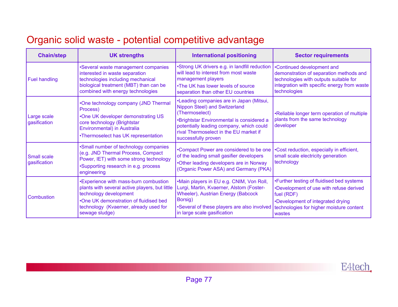### Organic solid waste - potential competitive advantage

| <b>Chain/step</b>           | <b>UK strengths</b>                                                                                                                                                                                                     | <b>International positioning</b>                                                                                                                                                                                                                      | <b>Sector requirements</b>                                                                                                                                                                    |
|-----------------------------|-------------------------------------------------------------------------------------------------------------------------------------------------------------------------------------------------------------------------|-------------------------------------------------------------------------------------------------------------------------------------------------------------------------------------------------------------------------------------------------------|-----------------------------------------------------------------------------------------------------------------------------------------------------------------------------------------------|
| <b>Fuel handling</b>        | •Several waste management companies<br>interested in waste separation<br>technologies including mechanical<br>biological treatment (MBT) than can be<br>combined with energy technologies                               | •Strong UK drivers e.g. in landfill reduction<br>will lead to interest from most waste<br>management players<br>•The UK has lower levels of source<br>separation than other EU countries                                                              | •Continued development and<br>demonstration of separation methods and<br>technologies with outputs suitable for<br>integration with specific energy from waste<br>technologies                |
| Large scale<br>gasification | •One technology company (JND Thermal<br>Process)<br>.One UK developer demonstrating US<br>core technology (Brightstar<br>Environmental) in Australia<br>•Thermoselect has UK representation                             | •Leading companies are in Japan (Mitsui,<br>Nippon Steel) and Switzerland<br>(Thermoselect)<br>•Brightstar Environmental is considered a<br>potentially leading company, which could<br>rival Thermoselect in the EU market if<br>successfully proven | •Reliable longer term operation of multiple<br>plants from the same technology<br>developer                                                                                                   |
| Small scale<br>gasification | •Small number of technology companies<br>(e.g. JND Thermal Process, Compact<br>Power, IET) with some strong technology<br>•Supporting research in e.g. process<br>engineering                                           | •Compact Power are considered to be one<br>of the leading small gasifier developers<br>•Other leading developers are in Norway<br>(Organic Power ASA) and Germany (PKA)                                                                               | .Cost reduction, especially in efficient,<br>small scale electricity generation<br>technology                                                                                                 |
| Combustion                  | •Experience with mass-burn combustion<br>plants with several active players, but little<br>technology development<br>.One UK demonstration of fluidised bed<br>technology (Kvaerner, already used for<br>sewage sludge) | •Main players in EU e.g. CNIM, Von Roll,<br>Lurgi, Martin, Kvaerner, Alstom (Foster-<br>Wheeler), Austrian Energy (Babcock<br>Borsig)<br>•Several of these players are also involved<br>in large scale gasification                                   | •Further testing of fluidised bed systems<br>•Development of use with refuse derived<br>fuel (RDF)<br>•Development of integrated drying<br>technologies for higher moisture content<br>wastes |

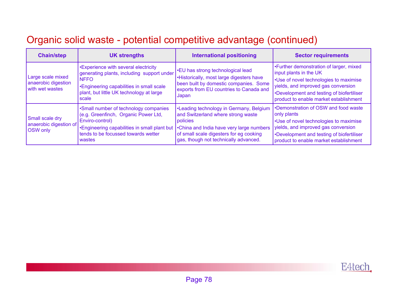### Organic solid waste - potential competitive advantage (continued)

| <b>Chain/step</b>                                           | <b>UK strengths</b>                                                                                                                                                                                | <b>International positioning</b>                                                                                                                                                                                          | <b>Sector requirements</b>                                                                                                                                                                                                                 |
|-------------------------------------------------------------|----------------------------------------------------------------------------------------------------------------------------------------------------------------------------------------------------|---------------------------------------------------------------------------------------------------------------------------------------------------------------------------------------------------------------------------|--------------------------------------------------------------------------------------------------------------------------------------------------------------------------------------------------------------------------------------------|
| Large scale mixed<br>anaerobic digestion<br>with wet wastes | •Experience with several electricity<br>generating plants, including support under<br><b>NFFO</b><br>•Engineering capabilities in small scale<br>plant, but little UK technology at large<br>scale | .EU has strong technological lead<br>•Historically, most large digesters have<br>been built by domestic companies. Some<br>exports from EU countries to Canada and<br>Japan                                               | •Further demonstration of larger, mixed<br>input plants in the UK<br>. Use of novel technologies to maximise<br>yields, and improved gas conversion<br>•Development and testing of biofertiliser<br>product to enable market establishment |
| Small scale dry<br>anaerobic digestion of<br>OSW only       | •Small number of technology companies<br>(e.g. Greenfinch, Organic Power Ltd,<br>Enviro-control)<br>•Engineering capabilities in small plant but<br>tends to be focussed towards wetter<br>wastes  | •Leading technology in Germany, Belgium<br>and Switzerland where strong waste<br>policies<br>•China and India have very large numbers<br>of small scale digesters for eg cooking<br>gas, though not technically advanced. | •Demonstration of OSW and food waste<br>only plants<br>•Use of novel technologies to maximise<br>yields, and improved gas conversion<br>•Development and testing of biofertiliser<br>product to enable market establishment                |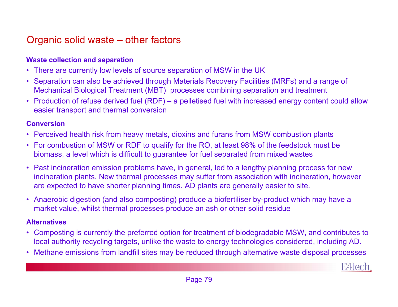# Organic solid waste – other factors

#### **Waste collection and separation**

- •There are currently low levels of source separation of MSW in the UK
- Separation can also be achieved through Materials Recovery Facilities (MRFs) and a range of Mechanical Biological Treatment (MBT) processes combining separation and treatment
- Production of refuse derived fuel (RDF) a pelletised fuel with increased energy content could allow easier transport and thermal conversion

#### **Conversion**

- Perceived health risk from heavy metals, dioxins and furans from MSW combustion plants
- For combustion of MSW or RDF to qualify for the RO, at least 98% of the feedstock must be biomass, a level which is difficult to guarantee for fuel separated from mixed wastes
- Past incineration emission problems have, in general, led to a lengthy planning process for new incineration plants. New thermal processes may suffer from association with incineration, however are expected to have shorter planning times. AD plants are generally easier to site.
- Anaerobic digestion (and also composting) produce a biofertiliser by-product which may have a market value, whilst thermal processes produce an ash or other solid residue

#### **Alternatives**

- Composting is currently the preferred option for treatment of biodegradable MSW, and contributes to local authority recycling targets, unlike the waste to energy technologies considered, including AD.
- •Methane emissions from landfill sites may be reduced through alternative waste disposal processes

E4tech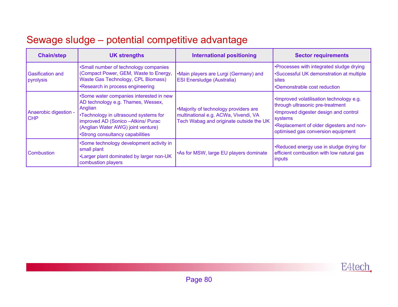# Sewage sludge – potential competitive advantage

| <b>Chain/step</b>                    | <b>UK strengths</b>                                                                                                                                                                                                                                | <b>International positioning</b>                                                                                         | <b>Sector requirements</b>                                                                                                                                                                                          |
|--------------------------------------|----------------------------------------------------------------------------------------------------------------------------------------------------------------------------------------------------------------------------------------------------|--------------------------------------------------------------------------------------------------------------------------|---------------------------------------------------------------------------------------------------------------------------------------------------------------------------------------------------------------------|
| <b>Gasification and</b><br>pyrolysis | •Small number of technology companies<br>(Compact Power, GEM, Waste to Energy,<br>Waste Gas Technology, CPL Biomass)<br>•Research in process engineering                                                                                           | •Main players are Lurgi (Germany) and<br><b>ESI Enersludge (Australia)</b>                                               | •Processes with integrated sludge drying<br>•Successful UK demonstration at multiple<br>sites<br>•Demonstrable cost reduction                                                                                       |
| Anaerobic digestion -<br> CHP        | •Some water companies interested in new<br>AD technology e.g. Thames, Wessex,<br>Anglian<br>•Technology in ultrasound systems for<br>improved AD (Sonico - Atkins/ Purac<br>(Anglian Water AWG) joint venture)<br>•Strong consultancy capabilities | .Majority of technology providers are<br>multinational e.g. ACWa, Vivendi, VA<br>Tech Wabag and originate outside the UK | .Improved volatilisation technology e.g.<br>through ultrasonic pre-treatment<br>. Improved digester design and control<br>systems<br>•Replacement of older digesters and non-<br>optimised gas conversion equipment |
| <b>Combustion</b>                    | •Some technology development activity in<br>small plant<br>. Larger plant dominated by larger non-UK<br>combustion players                                                                                                                         | •As for MSW, large EU players dominate                                                                                   | •Reduced energy use in sludge drying for<br>efficient combustion with low natural gas<br>inputs                                                                                                                     |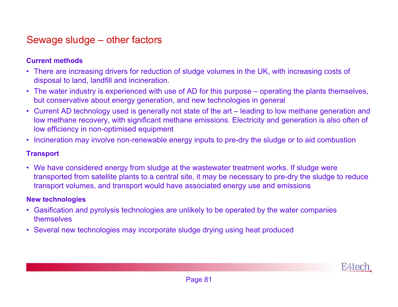### Sewage sludge – other factors

#### **Current methods**

- There are increasing drivers for reduction of sludge volumes in the UK, with increasing costs of disposal to land, landfill and incineration.
- The water industry is experienced with use of AD for this purpose operating the plants themselves, but conservative about energy generation, and new technologies in general
- Current AD technology used is generally not state of the art leading to low methane generation and low methane recovery, with significant methane emissions. Electricity and generation is also often of low efficiency in non-optimised equipment
- •Incineration may involve non-renewable energy inputs to pre-dry the sludge or to aid combustion

#### **Transport**

• We have considered energy from sludge at the wastewater treatment works. If sludge were transported from satellite plants to a central site, it may be necessary to pre-dry the sludge to reduce transport volumes, and transport would have associated energy use and emissions

#### **New technologies**

- Gasification and pyrolysis technologies are unlikely to be operated by the water companies themselves
- Several new technologies may incorporate sludge drying using heat produced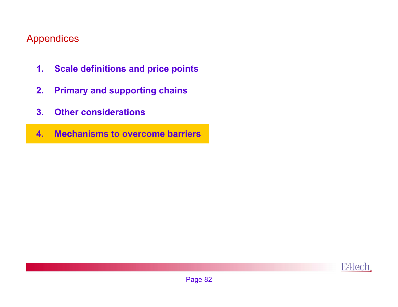# Appendices

- **1.Scale definitions and price points**
- **2.Primary and supporting chains**
- **3.Other considerations**
- **4.Mechanisms to overcome barriers**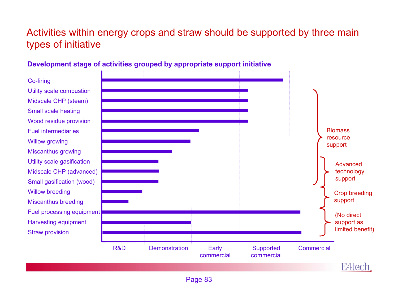# Activities within energy crops and straw should be supported by three main types of initiative

### **Development stage of activities grouped by appropriate support initiative**

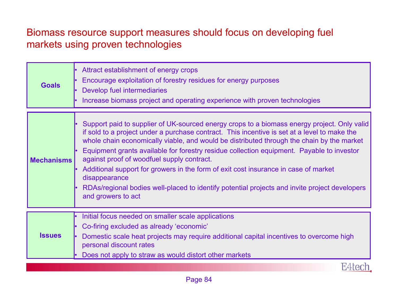### Biomass resource support measures should focus on developing fuel markets using proven technologies

| <b>Goals</b>      | Attract establishment of energy crops<br>Encourage exploitation of forestry residues for energy purposes<br>Develop fuel intermediaries<br>Increase biomass project and operating experience with proven technologies                                                                                                                                                                                                                                                                                                                                                                                                                                              |
|-------------------|--------------------------------------------------------------------------------------------------------------------------------------------------------------------------------------------------------------------------------------------------------------------------------------------------------------------------------------------------------------------------------------------------------------------------------------------------------------------------------------------------------------------------------------------------------------------------------------------------------------------------------------------------------------------|
| <b>Mechanisms</b> | Support paid to supplier of UK-sourced energy crops to a biomass energy project. Only valid<br>if sold to a project under a purchase contract. This incentive is set at a level to make the<br>whole chain economically viable, and would be distributed through the chain by the market<br>Equipment grants available for forestry residue collection equipment. Payable to investor<br>against proof of woodfuel supply contract.<br>Additional support for growers in the form of exit cost insurance in case of market<br>disappearance<br>RDAs/regional bodies well-placed to identify potential projects and invite project developers<br>and growers to act |
|                   | Initial focus needed on smaller scale applications<br>Co-firing excluded as already 'economic'                                                                                                                                                                                                                                                                                                                                                                                                                                                                                                                                                                     |
| <b>Issues</b>     | Domestic scale heat projects may require additional capital incentives to overcome high<br>personal discount rates                                                                                                                                                                                                                                                                                                                                                                                                                                                                                                                                                 |
|                   | Does not apply to straw as would distort other markets<br>F:4 re                                                                                                                                                                                                                                                                                                                                                                                                                                                                                                                                                                                                   |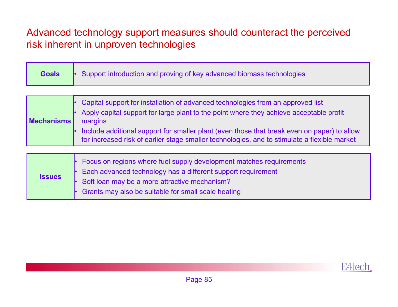# Advanced technology support measures should counteract the perceived risk inherent in unproven technologies

| <b>Goals</b>      | Support introduction and proving of key advanced biomass technologies                                                                                                                                                                                                                                                                                                                |
|-------------------|--------------------------------------------------------------------------------------------------------------------------------------------------------------------------------------------------------------------------------------------------------------------------------------------------------------------------------------------------------------------------------------|
|                   |                                                                                                                                                                                                                                                                                                                                                                                      |
| <b>Mechanisms</b> | Capital support for installation of advanced technologies from an approved list<br>Apply capital support for large plant to the point where they achieve acceptable profit<br>margins<br>Include additional support for smaller plant (even those that break even on paper) to allow<br>for increased risk of earlier stage smaller technologies, and to stimulate a flexible market |
| <b>Issues</b>     | Focus on regions where fuel supply development matches requirements<br>Each advanced technology has a different support requirement<br>Soft loan may be a more attractive mechanism?<br>Grants may also be suitable for small scale heating                                                                                                                                          |

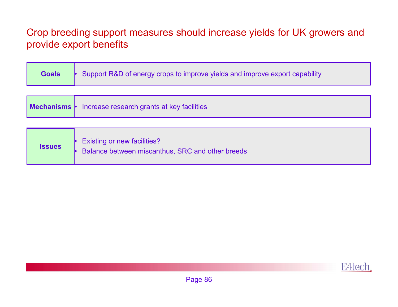### Crop breeding support measures should increase yields for UK growers and provide export benefits

| $\cdot$ Support R&D of energy crops to improve yields and improve export capability<br><b>Goals</b> |
|-----------------------------------------------------------------------------------------------------|
|-----------------------------------------------------------------------------------------------------|

| <b>Mechanisms</b> • Increase research grants at key facilities |
|----------------------------------------------------------------|
|                                                                |

| <b>Issues</b> | <b>Existing or new facilities?</b><br>Balance between miscanthus, SRC and other breeds |
|---------------|----------------------------------------------------------------------------------------|
|---------------|----------------------------------------------------------------------------------------|

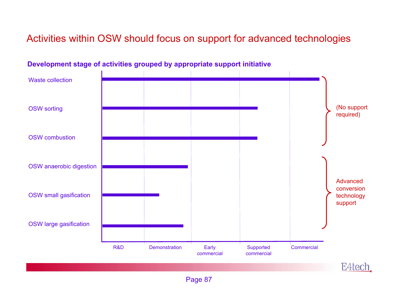# Activities within OSW should focus on support for advanced technologies



Page 87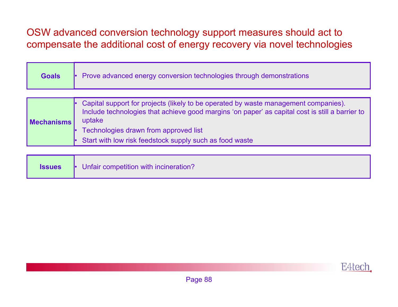OSW advanced conversion technology support measures should act to compensate the additional cost of energy recovery via novel technologies

|  | Goals   Prove advanced energy conversion technologies through demonstrations |
|--|------------------------------------------------------------------------------|
|--|------------------------------------------------------------------------------|

| Capital support for projects (likely to be operated by waste management companies).<br>Include technologies that achieve good margins 'on paper' as capital cost is still a barrier to<br>uptake<br>Mechanisms |
|----------------------------------------------------------------------------------------------------------------------------------------------------------------------------------------------------------------|
| Technologies drawn from approved list<br>Start with low risk feedstock supply such as food waste                                                                                                               |
|                                                                                                                                                                                                                |

|  | <b>Issues</b> • Unfair competition with incineration? |
|--|-------------------------------------------------------|
|--|-------------------------------------------------------|

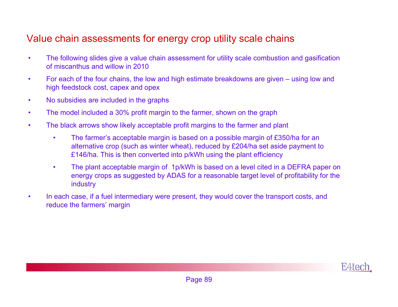### Value chain assessments for energy crop utility scale chains

- • The following slides give a value chain assessment for utility scale combustion and gasification of miscanthus and willow in 2010
- • For each of the four chains, the low and high estimate breakdowns are given – using low and high feedstock cost, capex and opex
- •No subsidies are included in the graphs
- •The model included a 30% profit margin to the farmer, shown on the graph
- • The black arrows show likely acceptable profit margins to the farmer and plant
	- • The farmer's acceptable margin is based on a possible margin of £350/ha for an alternative crop (such as winter wheat), reduced by £204/ha set aside payment to £146/ha. This is then converted into p/kWh using the plant efficiency
	- • The plant acceptable margin of 1p/kWh is based on a level cited in a DEFRA paper on energy crops as suggested by ADAS for a reasonable target level of profitability for the industry
- • In each case, if a fuel intermediary were present, they would cover the transport costs, and reduce the farmers' margin

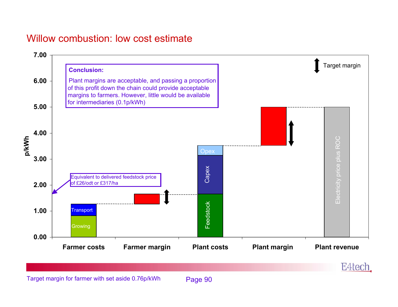### Willow combustion: low cost estimate



Target margin for farmer with set aside 0.76p/kWh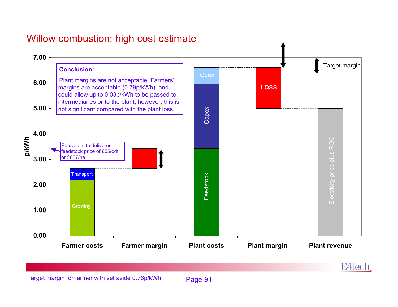### Willow combustion: high cost estimate



Target margin for farmer with set aside 0.76p/kWh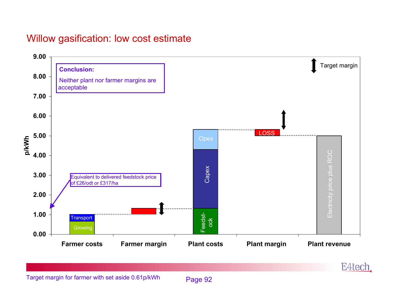### Willow gasification: low cost estimate



Target margin for farmer with set aside 0.61p/kWh

E4tech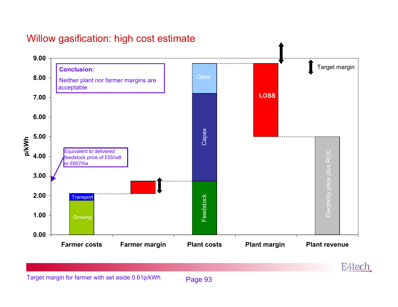### Willow gasification: high cost estimate



Target margin for farmer with set aside 0.61p/kWh

E4tech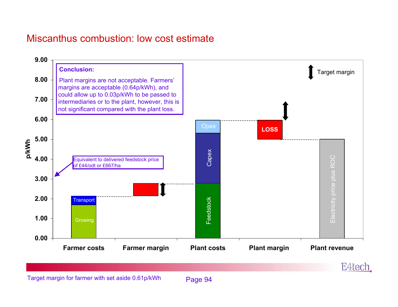### Miscanthus combustion: low cost estimate



Target margin for farmer with set aside 0.61p/kWh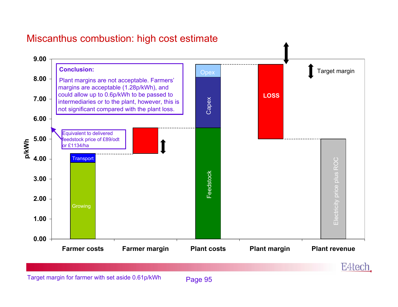# Miscanthus combustion: high cost estimate

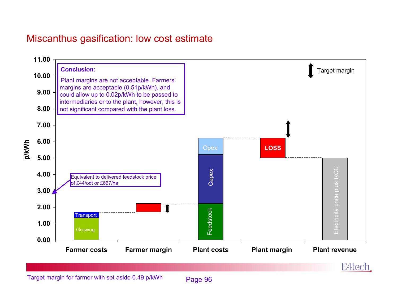### Miscanthus gasification: low cost estimate



Target margin for farmer with set aside 0.49 p/kWh